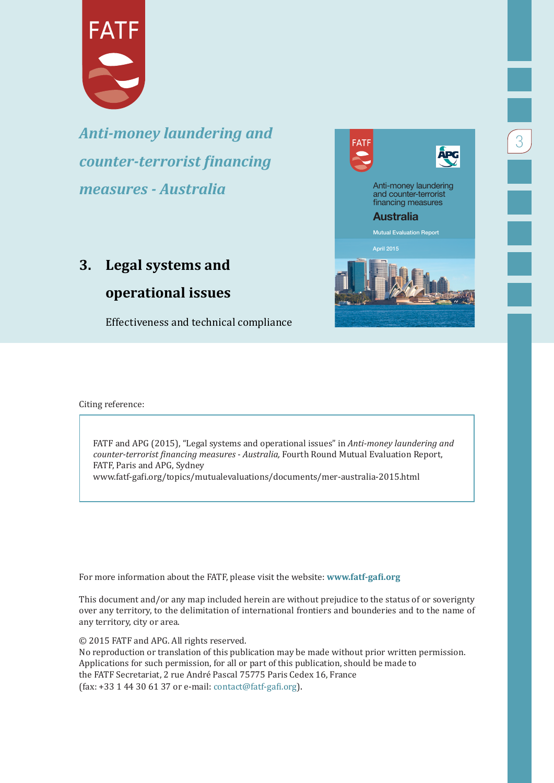

*Anti-money laundering and counter-terrorist financing measures - Australia*

# **3. Legal systems and**

## **operational issues**

Effectiveness and technical compliance



3

Citing reference:

FATF and APG (2015), "Legal systems and operational issues" in *Anti-money laundering and counter-terrorist financing measures - Australia,* Fourth Round Mutual Evaluation Report, FATF, Paris and APG, Sydney www.fatf-gafi.org/topics/mutualevaluations/documents/mer-australia-2015.html

For more information about the FATF, please visit the website: **www.fatf-gafi.org**

This document and/or any map included herein are without prejudice to the status of or soverignty over any territory, to the delimitation of international frontiers and bounderies and to the name of any territory, city or area.

© 2015 FATF and APG. All rights reserved.

No reproduction or translation of this publication may be made without prior written permission. Applications for such permission, for all or part of this publication, should be made to the FATF Secretariat, 2 rue André Pascal 75775 Paris Cedex 16, France (fax: +33 1 44 30 61 37 or e-mail: [contact@fatf-gafi.org](mailto:contact@fatf-gafi.org)).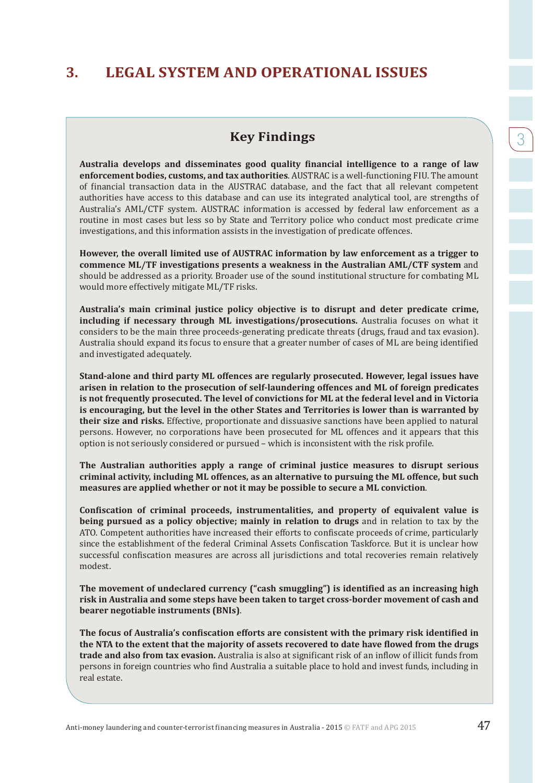## **Key Findings**

**Australia develops and disseminates good quality financial intelligence to a range of law enforcement bodies, customs, and tax authorities**. AUSTRAC is a well-functioning FIU. The amount of financial transaction data in the AUSTRAC database, and the fact that all relevant competent authorities have access to this database and can use its integrated analytical tool, are strengths of Australia's AML/CTF system. AUSTRAC information is accessed by federal law enforcement as a routine in most cases but less so by State and Territory police who conduct most predicate crime investigations, and this information assists in the investigation of predicate offences.

**However, the overall limited use of AUSTRAC information by law enforcement as a trigger to commence ML/TF investigations presents a weakness in the Australian AML/CTF system** and should be addressed as a priority. Broader use of the sound institutional structure for combating ML would more effectively mitigate ML/TF risks.

**Australia's main criminal justice policy objective is to disrupt and deter predicate crime, including if necessary through ML investigations/prosecutions.** Australia focuses on what it considers to be the main three proceeds-generating predicate threats (drugs, fraud and tax evasion). Australia should expand its focus to ensure that a greater number of cases of ML are being identified and investigated adequately.

**Stand-alone and third party ML offences are regularly prosecuted. However, legal issues have arisen in relation to the prosecution of self-laundering offences and ML of foreign predicates is not frequently prosecuted. The level of convictions for ML at the federal level and in Victoria is encouraging, but the level in the other States and Territories is lower than is warranted by their size and risks.** Effective, proportionate and dissuasive sanctions have been applied to natural persons. However, no corporations have been prosecuted for ML offences and it appears that this option is not seriously considered or pursued – which is inconsistent with the risk profile.

**The Australian authorities apply a range of criminal justice measures to disrupt serious criminal activity, including ML offences, as an alternative to pursuing the ML offence, but such measures are applied whether or not it may be possible to secure a ML conviction**.

**Confiscation of criminal proceeds, instrumentalities, and property of equivalent value is being pursued as a policy objective; mainly in relation to drugs** and in relation to tax by the ATO. Competent authorities have increased their efforts to confiscate proceeds of crime, particularly since the establishment of the federal Criminal Assets Confiscation Taskforce. But it is unclear how successful confiscation measures are across all jurisdictions and total recoveries remain relatively modest.

**The movement of undeclared currency ("cash smuggling") is identified as an increasing high risk in Australia and some steps have been taken to target cross-border movement of cash and bearer negotiable instruments (BNIs)**.

**The focus of Australia's confiscation efforts are consistent with the primary risk identified in the NTA to the extent that the majority of assets recovered to date have flowed from the drugs trade and also from tax evasion.** Australia is also at significant risk of an inflow of illicit funds from persons in foreign countries who find Australia a suitable place to hold and invest funds, including in real estate.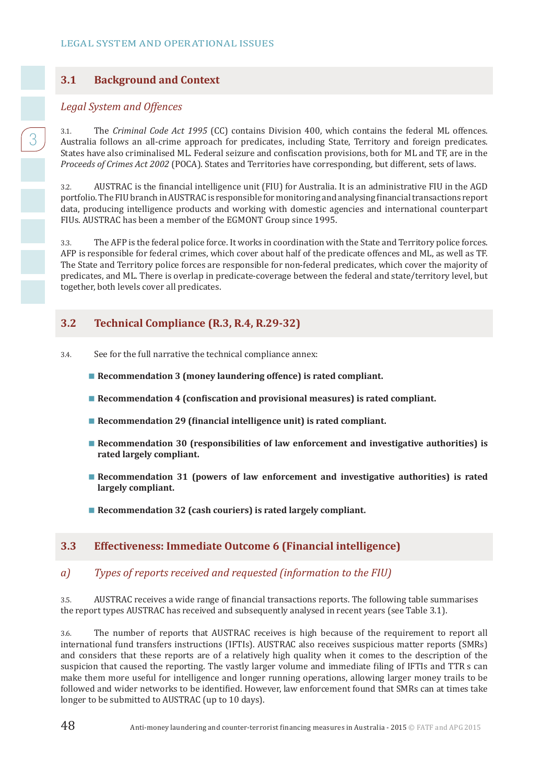## **3.1 Background and Context**

#### *Legal System and Offences*

3

3.1. The *Criminal Code Act 1995* (CC) contains Division 400, which contains the federal ML offences. Australia follows an all-crime approach for predicates, including State, Territory and foreign predicates. States have also criminalised ML. Federal seizure and confiscation provisions, both for ML and TF, are in the *Proceeds of Crimes Act 2002* (POCA). States and Territories have corresponding, but different, sets of laws.

3.2. AUSTRAC is the financial intelligence unit (FIU) for Australia. It is an administrative FIU in the AGD portfolio. The FIU branch in AUSTRAC is responsible for monitoring and analysing financial transactions report data, producing intelligence products and working with domestic agencies and international counterpart FIUs. AUSTRAC has been a member of the EGMONT Group since 1995.

3.3. The AFP is the federal police force. It works in coordination with the State and Territory police forces. AFP is responsible for federal crimes, which cover about half of the predicate offences and ML, as well as TF. The State and Territory police forces are responsible for non-federal predicates, which cover the majority of predicates, and ML. There is overlap in predicate-coverage between the federal and state/territory level, but together, both levels cover all predicates.

## **3.2 Technical Compliance (R.3, R.4, R.29-32)**

- 3.4. See for the full narrative the technical compliance annex:
	- Recommendation 3 (money laundering offence) is rated compliant.
	- **Recommendation 4 (confiscation and provisional measures) is rated compliant.**
	- Recommendation 29 (financial intelligence unit) is rated compliant.
	- **Recommendation 30 (responsibilities of law enforcement and investigative authorities) is rated largely compliant.**
	- **Recommendation 31 (powers of law enforcement and investigative authorities) is rated largely compliant.**
	- Recommendation 32 (cash couriers) is rated largely compliant.

#### **3.3 Effectiveness: Immediate Outcome 6 (Financial intelligence)**

#### *a) Types of reports received and requested (information to the FIU)*

3.5. AUSTRAC receives a wide range of financial transactions reports. The following table summarises the report types AUSTRAC has received and subsequently analysed in recent years (see Table 3.1).

3.6. The number of reports that AUSTRAC receives is high because of the requirement to report all international fund transfers instructions (IFTIs). AUSTRAC also receives suspicious matter reports (SMRs) and considers that these reports are of a relatively high quality when it comes to the description of the suspicion that caused the reporting. The vastly larger volume and immediate filing of IFTIs and TTR s can make them more useful for intelligence and longer running operations, allowing larger money trails to be followed and wider networks to be identified. However, law enforcement found that SMRs can at times take longer to be submitted to AUSTRAC (up to 10 days).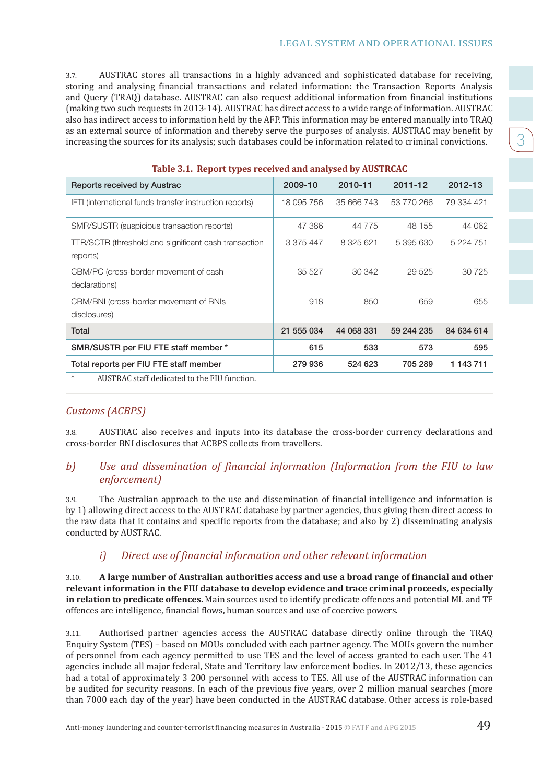3

3.7. AUSTRAC stores all transactions in a highly advanced and sophisticated database for receiving, storing and analysing financial transactions and related information: the Transaction Reports Analysis and Query (TRAQ) database. AUSTRAC can also request additional information from financial institutions (making two such requests in 2013-14). AUSTRAC has direct access to a wide range of information. AUSTRAC also has indirect access to information held by the AFP. This information may be entered manually into TRAQ as an external source of information and thereby serve the purposes of analysis. AUSTRAC may benefit by increasing the sources for its analysis; such databases could be information related to criminal convictions.

| <b>Reports received by Austrac</b>                                            | 2009-10    | 2010-11    | 2011-12    | 2012-13    |
|-------------------------------------------------------------------------------|------------|------------|------------|------------|
| IFTI (international funds transfer instruction reports)                       | 18 095 756 | 35 666 743 | 53 770 266 | 79 334 421 |
| SMR/SUSTR (suspicious transaction reports)                                    | 47 386     | 44 775     | 48 155     | 44 062     |
| TTR/SCTR (threshold and significant cash transaction<br>reports)              | 3 375 447  | 8 325 621  | 5 395 630  | 5 224 751  |
| CBM/PC (cross-border movement of cash<br>declarations)                        | 35 527     | 30 342     | 29 5 25    | 30 7 25    |
| CBM/BNI (cross-border movement of BNIs<br>disclosures)                        | 918        | 850        | 659        | 655        |
| Total                                                                         | 21 555 034 | 44 068 331 | 59 244 235 | 84 634 614 |
| SMR/SUSTR per FIU FTE staff member *                                          | 615        | 533        | 573        | 595        |
| Total reports per FIU FTE staff member                                        | 279 936    | 524 623    | 705 289    | 1 143 711  |
| ATTCPD A $C = L - C C$ , $1 - 3L = L - 1$ , $L = L$ , $\Box$ PIII $C = L + 1$ |            |            |            |            |

#### **Table 3.1. Report types received and analysed by AUSTRCAC**

AUSTRAC staff dedicated to the FIU function.

#### *Customs (ACBPS)*

3.8. AUSTRAC also receives and inputs into its database the cross-border currency declarations and cross-border BNI disclosures that ACBPS collects from travellers.

### *b) Use and dissemination of financial information (Information from the FIU to law enforcement)*

3.9. The Australian approach to the use and dissemination of financial intelligence and information is by 1) allowing direct access to the AUSTRAC database by partner agencies, thus giving them direct access to the raw data that it contains and specific reports from the database; and also by 2) disseminating analysis conducted by AUSTRAC.

#### *i) Direct use of financial information and other relevant information*

3.10. **A large number of Australian authorities access and use a broad range of financial and other relevant information in the FIU database to develop evidence and trace criminal proceeds, especially in relation to predicate offences.** Main sources used to identify predicate offences and potential ML and TF offences are intelligence, financial flows, human sources and use of coercive powers.

3.11. Authorised partner agencies access the AUSTRAC database directly online through the TRAQ Enquiry System (TES) – based on MOUs concluded with each partner agency. The MOUs govern the number of personnel from each agency permitted to use TES and the level of access granted to each user. The 41 agencies include all major federal, State and Territory law enforcement bodies. In 2012/13, these agencies had a total of approximately 3 200 personnel with access to TES. All use of the AUSTRAC information can be audited for security reasons. In each of the previous five years, over 2 million manual searches (more than 7000 each day of the year) have been conducted in the AUSTRAC database. Other access is role-based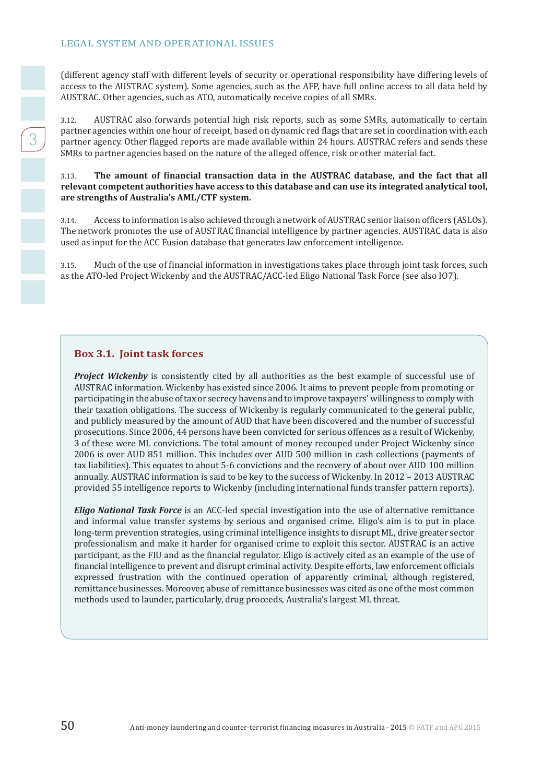(different agency staff with different levels of security or operational responsibility have differing levels of access to the AUSTRAC system). Some agencies, such as the AFP, have full online access to all data held by AUSTRAC. Other agencies, such as ATO, automatically receive copies of all SMRs.

3.12. AUSTRAC also forwards potential high risk reports, such as some SMRs, automatically to certain partner agencies within one hour of receipt, based on dynamic red flags that are set in coordination with each partner agency. Other flagged reports are made available within 24 hours. AUSTRAC refers and sends these SMRs to partner agencies based on the nature of the alleged offence, risk or other material fact.

#### 3.13. **The amount of financial transaction data in the AUSTRAC database, and the fact that all relevant competent authorities have access to this database and can use its integrated analytical tool, are strengths of Australia's AML/CTF system.**

3.14. Access to information is also achieved through a network of AUSTRAC senior liaison officers (ASLOs). The network promotes the use of AUSTRAC financial intelligence by partner agencies. AUSTRAC data is also used as input for the ACC Fusion database that generates law enforcement intelligence.

3.15. Much of the use of financial information in investigations takes place through joint task forces, such as the ATO-led Project Wickenby and the AUSTRAC/ACC-led Eligo National Task Force (see also IO7).

#### **Box 3.1. Joint task forces**

**Project Wickenby** is consistently cited by all authorities as the best example of successful use of AUSTRAC information. Wickenby has existed since 2006. It aims to prevent people from promoting or participating in the abuse of tax or secrecy havens and to improve taxpayers' willingness to comply with their taxation obligations. The success of Wickenby is regularly communicated to the general public, and publicly measured by the amount of AUD that have been discovered and the number of successful prosecutions. Since 2006, 44 persons have been convicted for serious offences as a result of Wickenby, 3 of these were ML convictions. The total amount of money recouped under Project Wickenby since 2006 is over AUD 851 million. This includes over AUD 500 million in cash collections (payments of tax liabilities). This equates to about 5-6 convictions and the recovery of about over AUD 100 million annually. AUSTRAC information is said to be key to the success of Wickenby. In 2012 – 2013 AUSTRAC provided 55 intelligence reports to Wickenby (including international funds transfer pattern reports).

*Eligo National Task Force* is an ACC-led special investigation into the use of alternative remittance and informal value transfer systems by serious and organised crime. Eligo's aim is to put in place long-term prevention strategies, using criminal intelligence insights to disrupt ML, drive greater sector professionalism and make it harder for organised crime to exploit this sector. AUSTRAC is an active participant, as the FIU and as the financial regulator. Eligo is actively cited as an example of the use of financial intelligence to prevent and disrupt criminal activity. Despite efforts, law enforcement officials expressed frustration with the continued operation of apparently criminal, although registered, remittance businesses. Moreover, abuse of remittance businesses was cited as one of the most common methods used to launder, particularly, drug proceeds, Australia's largest ML threat.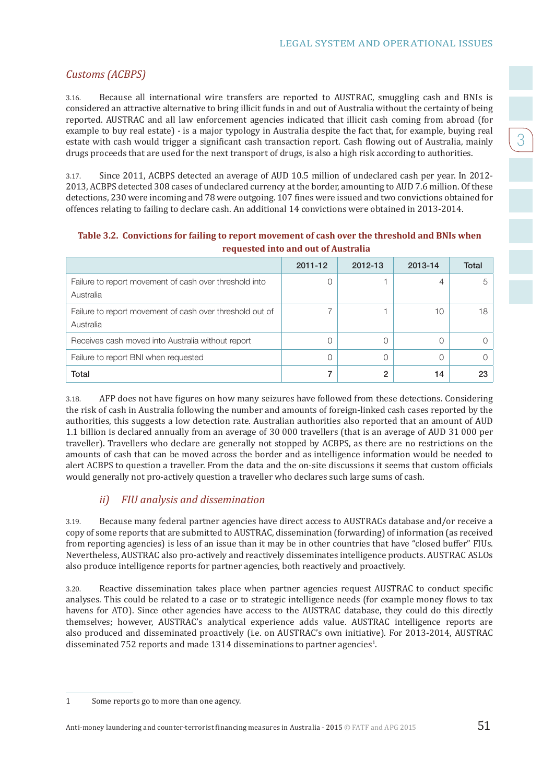3

## *Customs (ACBPS)*

3.16. Because all international wire transfers are reported to AUSTRAC, smuggling cash and BNIs is considered an attractive alternative to bring illicit funds in and out of Australia without the certainty of being reported. AUSTRAC and all law enforcement agencies indicated that illicit cash coming from abroad (for example to buy real estate) - is a major typology in Australia despite the fact that, for example, buying real estate with cash would trigger a significant cash transaction report. Cash flowing out of Australia, mainly drugs proceeds that are used for the next transport of drugs, is also a high risk according to authorities.

3.17. Since 2011, ACBPS detected an average of AUD 10.5 million of undeclared cash per year. In 2012- 2013, ACBPS detected 308 cases of undeclared currency at the border, amounting to AUD 7.6 million. Of these detections, 230 were incoming and 78 were outgoing. 107 fines were issued and two convictions obtained for offences relating to failing to declare cash. An additional 14 convictions were obtained in 2013-2014.

|                                                                       | 2011-12 | 2012-13 | 2013-14 | Total |
|-----------------------------------------------------------------------|---------|---------|---------|-------|
| Failure to report movement of cash over threshold into<br>Australia   |         |         | 4       | 5     |
| Failure to report movement of cash over threshold out of<br>Australia |         |         | 10      | 18    |
| Receives cash moved into Australia without report                     |         | Ω       |         |       |
| Failure to report BNI when requested                                  |         | Ω       |         |       |
| Total                                                                 |         | 2       | 14      | 23    |

**Table 3.2. Convictions for failing to report movement of cash over the threshold and BNIs when requested into and out of Australia**

3.18. AFP does not have figures on how many seizures have followed from these detections. Considering the risk of cash in Australia following the number and amounts of foreign-linked cash cases reported by the authorities, this suggests a low detection rate. Australian authorities also reported that an amount of AUD 1.1 billion is declared annually from an average of 30 000 travellers (that is an average of AUD 31 000 per traveller). Travellers who declare are generally not stopped by ACBPS, as there are no restrictions on the amounts of cash that can be moved across the border and as intelligence information would be needed to alert ACBPS to question a traveller. From the data and the on-site discussions it seems that custom officials would generally not pro-actively question a traveller who declares such large sums of cash.

## *ii) FIU analysis and dissemination*

3.19. Because many federal partner agencies have direct access to AUSTRACs database and/or receive a copy of some reports that are submitted to AUSTRAC, dissemination (forwarding) of information (as received from reporting agencies) is less of an issue than it may be in other countries that have "closed buffer" FIUs. Nevertheless, AUSTRAC also pro-actively and reactively disseminates intelligence products. AUSTRAC ASLOs also produce intelligence reports for partner agencies, both reactively and proactively.

3.20. Reactive dissemination takes place when partner agencies request AUSTRAC to conduct specific analyses. This could be related to a case or to strategic intelligence needs (for example money flows to tax havens for ATO). Since other agencies have access to the AUSTRAC database, they could do this directly themselves; however, AUSTRAC's analytical experience adds value. AUSTRAC intelligence reports are also produced and disseminated proactively (i.e. on AUSTRAC's own initiative). For 2013-2014, AUSTRAC disseminated 752 reports and made  $1314$  disseminations to partner agencies<sup>1</sup>.

<sup>1</sup> Some reports go to more than one agency.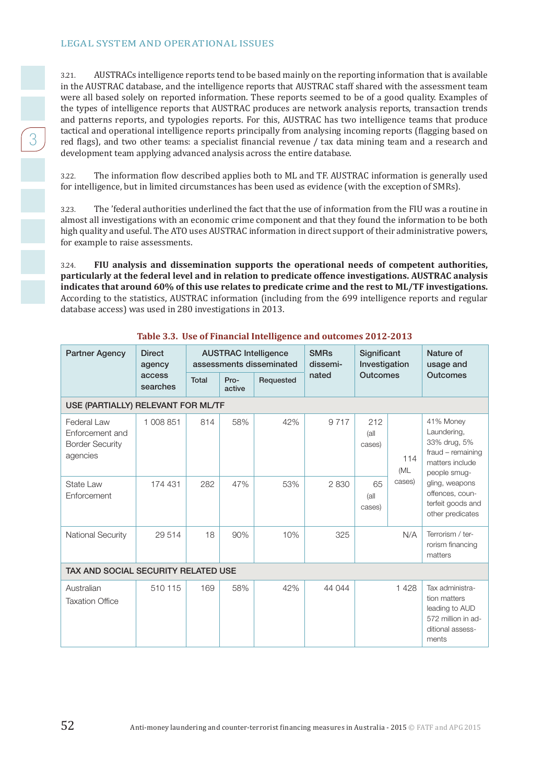3.21. AUSTRACs intelligence reports tend to be based mainly on the reporting information that is available in the AUSTRAC database, and the intelligence reports that AUSTRAC staff shared with the assessment team were all based solely on reported information. These reports seemed to be of a good quality. Examples of the types of intelligence reports that AUSTRAC produces are network analysis reports, transaction trends and patterns reports, and typologies reports. For this, AUSTRAC has two intelligence teams that produce tactical and operational intelligence reports principally from analysing incoming reports (flagging based on red flags), and two other teams: a specialist financial revenue / tax data mining team and a research and development team applying advanced analysis across the entire database.

3.22. The information flow described applies both to ML and TF. AUSTRAC information is generally used for intelligence, but in limited circumstances has been used as evidence (with the exception of SMRs).

3.23. The 'federal authorities underlined the fact that the use of information from the FIU was a routine in almost all investigations with an economic crime component and that they found the information to be both high quality and useful. The ATO uses AUSTRAC information in direct support of their administrative powers, for example to raise assessments.

3.24. **FIU analysis and dissemination supports the operational needs of competent authorities, particularly at the federal level and in relation to predicate offence investigations. AUSTRAC analysis indicates that around 60% of this use relates to predicate crime and the rest to ML/TF investigations.**  According to the statistics, AUSTRAC information (including from the 699 intelligence reports and regular database access) was used in 280 investigations in 2013.

| <b>Partner Agency</b>                                                | <b>Direct</b><br>agency |       |                | <b>SMRs</b><br><b>AUSTRAC Intelligence</b><br>assessments disseminated<br>dissemi- |        | Significant<br>Investigation |                      | Nature of<br>usage and                                                                               |
|----------------------------------------------------------------------|-------------------------|-------|----------------|------------------------------------------------------------------------------------|--------|------------------------------|----------------------|------------------------------------------------------------------------------------------------------|
|                                                                      | access<br>searches      | Total | Pro-<br>active | Requested                                                                          | nated  | <b>Outcomes</b>              |                      | <b>Outcomes</b>                                                                                      |
| USE (PARTIALLY) RELEVANT FOR ML/TF                                   |                         |       |                |                                                                                    |        |                              |                      |                                                                                                      |
| Federal Law<br>Enforcement and<br><b>Border Security</b><br>agencies | 1 008 851               | 814   | 58%            | 42%                                                                                | 9717   | 212<br>(all)<br>cases)       | 114<br>(ML<br>cases) | 41% Money<br>Laundering,<br>33% drug, 5%<br>fraud - remaining<br>matters include<br>people smug-     |
| State Law<br>Enforcement                                             | 174 431                 | 282   | 47%            | 53%                                                                                | 2830   | 65<br>(all)<br>cases)        |                      | gling, weapons<br>offences, coun-<br>terfeit goods and<br>other predicates                           |
| <b>National Security</b>                                             | 29 514                  | 18    | 90%            | 10%                                                                                | 325    |                              | N/A                  | Terrorism / ter-<br>rorism financing<br>matters                                                      |
| TAX AND SOCIAL SECURITY RELATED USE                                  |                         |       |                |                                                                                    |        |                              |                      |                                                                                                      |
| Australian<br><b>Taxation Office</b>                                 | 510 115                 | 169   | 58%            | 42%                                                                                | 44 044 |                              | 1428                 | Tax administra-<br>tion matters<br>leading to AUD<br>572 million in ad-<br>ditional assess-<br>ments |

#### **Table 3.3. Use of Financial Intelligence and outcomes 2012-2013**

 $\begin{bmatrix} 1 \\ 2 \end{bmatrix}$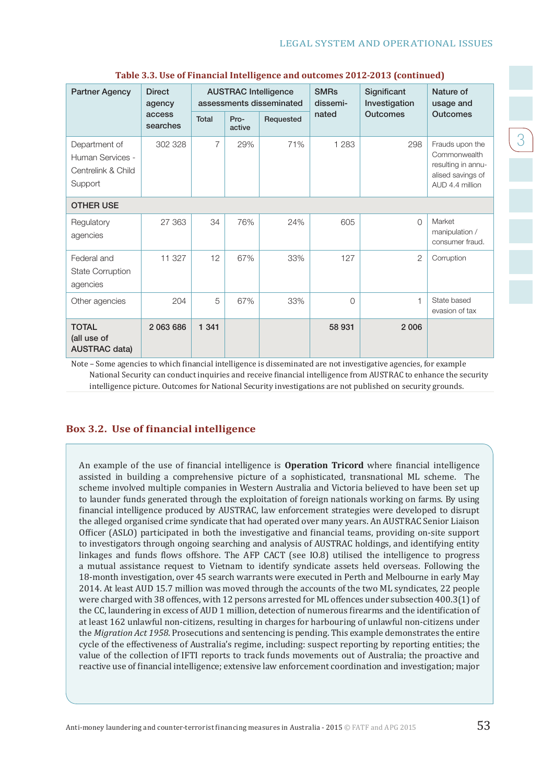| <b>Partner Agency</b>                                              | <b>Direct</b><br><b>AUSTRAC Intelligence</b><br>assessments disseminated<br>agency |              |                |           | <b>SMRs</b><br>dissemi- | Significant<br>Investigation | Nature of<br>usage and                                                                        |
|--------------------------------------------------------------------|------------------------------------------------------------------------------------|--------------|----------------|-----------|-------------------------|------------------------------|-----------------------------------------------------------------------------------------------|
|                                                                    | access<br>searches                                                                 | <b>Total</b> | Pro-<br>active | Requested | nated                   | <b>Outcomes</b>              | <b>Outcomes</b>                                                                               |
| Department of<br>Human Services -<br>Centrelink & Child<br>Support | 302 328                                                                            | 7            | 29%            | 71%       | 1 2 8 3                 | 298                          | Frauds upon the<br>Commonwealth<br>resulting in annu-<br>alised savings of<br>AUD 4.4 million |
| <b>OTHER USE</b>                                                   |                                                                                    |              |                |           |                         |                              |                                                                                               |
| Regulatory<br>agencies                                             | 27 363                                                                             | 34           | 76%            | 24%       | 605                     | $\Omega$                     | Market<br>manipulation /<br>consumer fraud.                                                   |
| Federal and<br><b>State Corruption</b><br>agencies                 | 11 327                                                                             | 12           | 67%            | 33%       | 127                     | 2                            | Corruption                                                                                    |
| Other agencies                                                     | 204                                                                                | 5            | 67%            | 33%       | $\Omega$                | f                            | State based<br>evasion of tax                                                                 |
| <b>TOTAL</b><br>(all use of<br><b>AUSTRAC data)</b>                | 2 063 686                                                                          | 1 3 4 1      |                |           | 58 931                  | 2 0 0 6                      |                                                                                               |

#### **Table 3.3. Use of Financial Intelligence and outcomes 2012-2013 (continued)**

Note – Some agencies to which financial intelligence is disseminated are not investigative agencies, for example National Security can conduct inquiries and receive financial intelligence from AUSTRAC to enhance the security intelligence picture. Outcomes for National Security investigations are not published on security grounds.

#### **Box 3.2. Use of financial intelligence**

An example of the use of financial intelligence is **Operation Tricord** where financial intelligence assisted in building a comprehensive picture of a sophisticated, transnational ML scheme. The scheme involved multiple companies in Western Australia and Victoria believed to have been set up to launder funds generated through the exploitation of foreign nationals working on farms. By using financial intelligence produced by AUSTRAC, law enforcement strategies were developed to disrupt the alleged organised crime syndicate that had operated over many years. An AUSTRAC Senior Liaison Officer (ASLO) participated in both the investigative and financial teams, providing on-site support to investigators through ongoing searching and analysis of AUSTRAC holdings, and identifying entity linkages and funds flows offshore. The AFP CACT (see IO.8) utilised the intelligence to progress a mutual assistance request to Vietnam to identify syndicate assets held overseas. Following the 18-month investigation, over 45 search warrants were executed in Perth and Melbourne in early May 2014. At least AUD 15.7 million was moved through the accounts of the two ML syndicates, 22 people were charged with 38 offences, with 12 persons arrested for ML offences under subsection 400.3(1) of the CC, laundering in excess of AUD 1 million, detection of numerous firearms and the identification of at least 162 unlawful non-citizens, resulting in charges for harbouring of unlawful non-citizens under the *Migration Act 1958*. Prosecutions and sentencing is pending. This example demonstrates the entire cycle of the effectiveness of Australia's regime, including: suspect reporting by reporting entities; the value of the collection of IFTI reports to track funds movements out of Australia; the proactive and reactive use of financial intelligence; extensive law enforcement coordination and investigation; major

<u>3</u>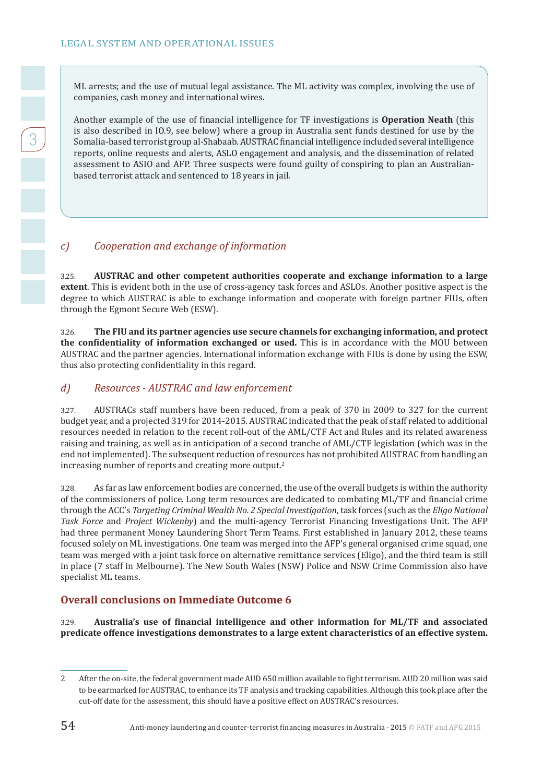3

ML arrests; and the use of mutual legal assistance. The ML activity was complex, involving the use of companies, cash money and international wires.

Another example of the use of financial intelligence for TF investigations is **Operation Neath** (this is also described in IO.9, see below) where a group in Australia sent funds destined for use by the Somalia-based terrorist group al-Shabaab. AUSTRAC financial intelligence included several intelligence reports, online requests and alerts, ASLO engagement and analysis, and the dissemination of related assessment to ASIO and AFP. Three suspects were found guilty of conspiring to plan an Australianbased terrorist attack and sentenced to 18 years in jail.

## *c) Cooperation and exchange of information*

3.25. **AUSTRAC and other competent authorities cooperate and exchange information to a large extent**. This is evident both in the use of cross-agency task forces and ASLOs. Another positive aspect is the degree to which AUSTRAC is able to exchange information and cooperate with foreign partner FIUs, often through the Egmont Secure Web (ESW).

3.26. **The FIU and its partner agencies use secure channels for exchanging information, and protect the confidentiality of information exchanged or used.** This is in accordance with the MOU between AUSTRAC and the partner agencies. International information exchange with FIUs is done by using the ESW, thus also protecting confidentiality in this regard.

#### *d) Resources - AUSTRAC and law enforcement*

3.27. AUSTRACs staff numbers have been reduced, from a peak of 370 in 2009 to 327 for the current budget year, and a projected 319 for 2014-2015. AUSTRAC indicated that the peak of staff related to additional resources needed in relation to the recent roll-out of the AML/CTF Act and Rules and its related awareness raising and training, as well as in anticipation of a second tranche of AML/CTF legislation (which was in the end not implemented). The subsequent reduction of resources has not prohibited AUSTRAC from handling an increasing number of reports and creating more output.<sup>2</sup>

3.28. As far as law enforcement bodies are concerned, the use of the overall budgets is within the authority of the commissioners of police. Long term resources are dedicated to combating ML/TF and financial crime through the ACC's *Targeting Criminal Wealth No. 2 Special Investigation*, task forces (such as the *Eligo National Task Force* and *Project Wickenby*) and the multi-agency Terrorist Financing Investigations Unit. The AFP had three permanent Money Laundering Short Term Teams. First established in January 2012, these teams focused solely on ML investigations. One team was merged into the AFP's general organised crime squad, one team was merged with a joint task force on alternative remittance services (Eligo), and the third team is still in place (7 staff in Melbourne). The New South Wales (NSW) Police and NSW Crime Commission also have specialist ML teams.

#### **Overall conclusions on Immediate Outcome 6**

3.29. **Australia's use of financial intelligence and other information for ML/TF and associated predicate offence investigations demonstrates to a large extent characteristics of an effective system.**

<sup>2</sup> After the on-site, the federal government made AUD 650 million available to fight terrorism. AUD 20 million was said to be earmarked for AUSTRAC, to enhance its TF analysis and tracking capabilities. Although this took place after the cut-off date for the assessment, this should have a positive effect on AUSTRAC's resources.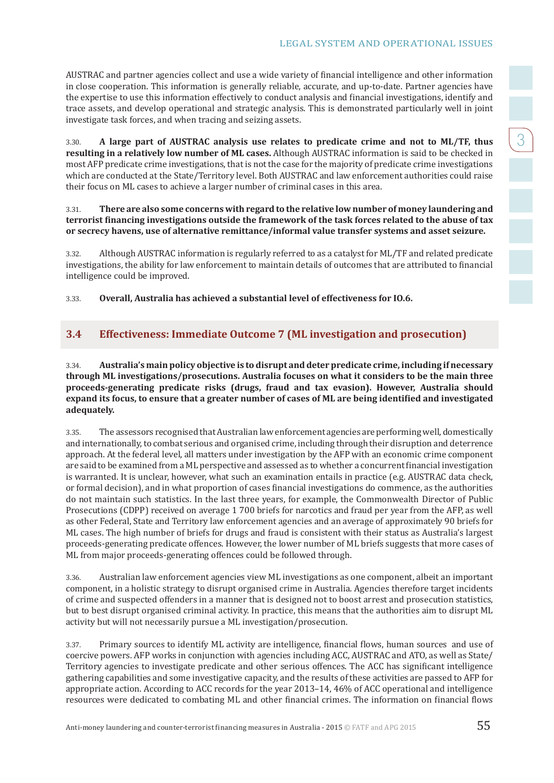3

AUSTRAC and partner agencies collect and use a wide variety of financial intelligence and other information in close cooperation. This information is generally reliable, accurate, and up-to-date. Partner agencies have the expertise to use this information effectively to conduct analysis and financial investigations, identify and trace assets, and develop operational and strategic analysis. This is demonstrated particularly well in joint investigate task forces, and when tracing and seizing assets.

3.30. **A large part of AUSTRAC analysis use relates to predicate crime and not to ML/TF, thus resulting in a relatively low number of ML cases.** Although AUSTRAC information is said to be checked in most AFP predicate crime investigations, that is not the case for the majority of predicate crime investigations which are conducted at the State/Territory level. Both AUSTRAC and law enforcement authorities could raise their focus on ML cases to achieve a larger number of criminal cases in this area.

3.31. **There are also some concerns with regard to the relative low number of money laundering and terrorist financing investigations outside the framework of the task forces related to the abuse of tax or secrecy havens, use of alternative remittance/informal value transfer systems and asset seizure.** 

3.32. Although AUSTRAC information is regularly referred to as a catalyst for ML/TF and related predicate investigations, the ability for law enforcement to maintain details of outcomes that are attributed to financial intelligence could be improved.

3.33. **Overall, Australia has achieved a substantial level of effectiveness for IO.6.**

#### **3.4 Effectiveness: Immediate Outcome 7 (ML investigation and prosecution)**

3.34. **Australia's main policy objective is to disrupt and deter predicate crime, including if necessary through ML investigations/prosecutions. Australia focuses on what it considers to be the main three proceeds-generating predicate risks (drugs, fraud and tax evasion). However, Australia should expand its focus, to ensure that a greater number of cases of ML are being identified and investigated adequately.**

3.35. The assessors recognised that Australian law enforcement agencies are performing well, domestically and internationally, to combat serious and organised crime, including through their disruption and deterrence approach. At the federal level, all matters under investigation by the AFP with an economic crime component are said to be examined from a ML perspective and assessed as to whether a concurrent financial investigation is warranted. It is unclear, however, what such an examination entails in practice (e.g. AUSTRAC data check, or formal decision), and in what proportion of cases financial investigations do commence, as the authorities do not maintain such statistics. In the last three years, for example, the Commonwealth Director of Public Prosecutions (CDPP) received on average 1 700 briefs for narcotics and fraud per year from the AFP, as well as other Federal, State and Territory law enforcement agencies and an average of approximately 90 briefs for ML cases. The high number of briefs for drugs and fraud is consistent with their status as Australia's largest proceeds-generating predicate offences. However, the lower number of ML briefs suggests that more cases of ML from major proceeds-generating offences could be followed through.

3.36. Australian law enforcement agencies view ML investigations as one component, albeit an important component, in a holistic strategy to disrupt organised crime in Australia. Agencies therefore target incidents of crime and suspected offenders in a manner that is designed not to boost arrest and prosecution statistics, but to best disrupt organised criminal activity. In practice, this means that the authorities aim to disrupt ML activity but will not necessarily pursue a ML investigation/prosecution.

3.37. Primary sources to identify ML activity are intelligence, financial flows, human sources and use of coercive powers. AFP works in conjunction with agencies including ACC, AUSTRAC and ATO, as well as State/ Territory agencies to investigate predicate and other serious offences. The ACC has significant intelligence gathering capabilities and some investigative capacity, and the results of these activities are passed to AFP for appropriate action. According to ACC records for the year 2013–14, 46% of ACC operational and intelligence resources were dedicated to combating ML and other financial crimes. The information on financial flows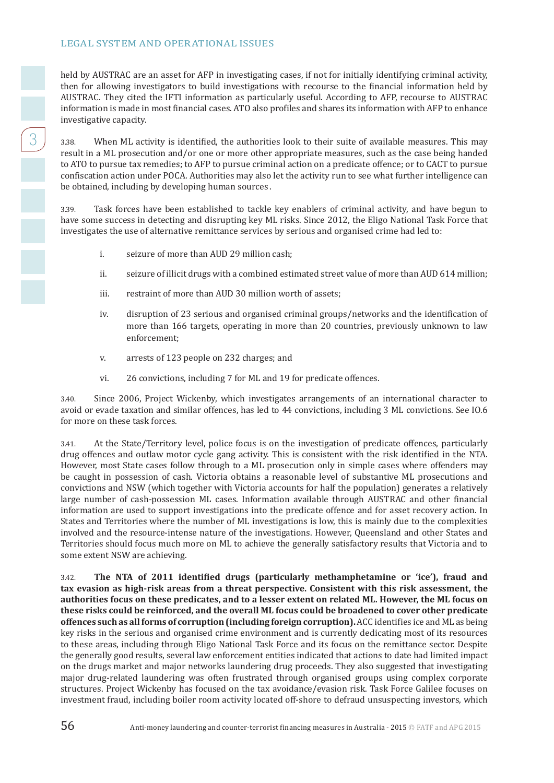held by AUSTRAC are an asset for AFP in investigating cases, if not for initially identifying criminal activity, then for allowing investigators to build investigations with recourse to the financial information held by AUSTRAC. They cited the IFTI information as particularly useful. According to AFP, recourse to AUSTRAC information is made in most financial cases. ATO also profiles and shares its information with AFP to enhance investigative capacity.

3.38. When ML activity is identified, the authorities look to their suite of available measures. This may result in a ML prosecution and/or one or more other appropriate measures, such as the case being handed to ATO to pursue tax remedies; to AFP to pursue criminal action on a predicate offence; or to CACT to pursue confiscation action under POCA. Authorities may also let the activity run to see what further intelligence can be obtained, including by developing human sources .

3.39. Task forces have been established to tackle key enablers of criminal activity, and have begun to have some success in detecting and disrupting key ML risks. Since 2012, the Eligo National Task Force that investigates the use of alternative remittance services by serious and organised crime had led to:

- i. seizure of more than AUD 29 million cash;
- ii. seizure of illicit drugs with a combined estimated street value of more than AUD 614 million;
- iii. restraint of more than AUD 30 million worth of assets;
- iv. disruption of 23 serious and organised criminal groups/networks and the identification of more than 166 targets, operating in more than 20 countries, previously unknown to law enforcement;
- v. arrests of 123 people on 232 charges; and
- vi. 26 convictions, including 7 for ML and 19 for predicate offences.

3.40. Since 2006, Project Wickenby, which investigates arrangements of an international character to avoid or evade taxation and similar offences, has led to 44 convictions, including 3 ML convictions. See IO.6 for more on these task forces.

3.41. At the State/Territory level, police focus is on the investigation of predicate offences, particularly drug offences and outlaw motor cycle gang activity. This is consistent with the risk identified in the NTA. However, most State cases follow through to a ML prosecution only in simple cases where offenders may be caught in possession of cash. Victoria obtains a reasonable level of substantive ML prosecutions and convictions and NSW (which together with Victoria accounts for half the population) generates a relatively large number of cash-possession ML cases. Information available through AUSTRAC and other financial information are used to support investigations into the predicate offence and for asset recovery action. In States and Territories where the number of ML investigations is low, this is mainly due to the complexities involved and the resource-intense nature of the investigations. However, Queensland and other States and Territories should focus much more on ML to achieve the generally satisfactory results that Victoria and to some extent NSW are achieving.

3.42. **The NTA of 2011 identified drugs (particularly methamphetamine or 'ice'), fraud and tax evasion as high-risk areas from a threat perspective. Consistent with this risk assessment, the authorities focus on these predicates, and to a lesser extent on related ML. However, the ML focus on these risks could be reinforced, and the overall ML focus could be broadened to cover other predicate offences such as all forms of corruption (including foreign corruption).** ACC identifies ice and ML as being key risks in the serious and organised crime environment and is currently dedicating most of its resources to these areas, including through Eligo National Task Force and its focus on the remittance sector. Despite the generally good results, several law enforcement entities indicated that actions to date had limited impact on the drugs market and major networks laundering drug proceeds. They also suggested that investigating major drug-related laundering was often frustrated through organised groups using complex corporate structures. Project Wickenby has focused on the tax avoidance/evasion risk. Task Force Galilee focuses on investment fraud, including boiler room activity located off-shore to defraud unsuspecting investors, which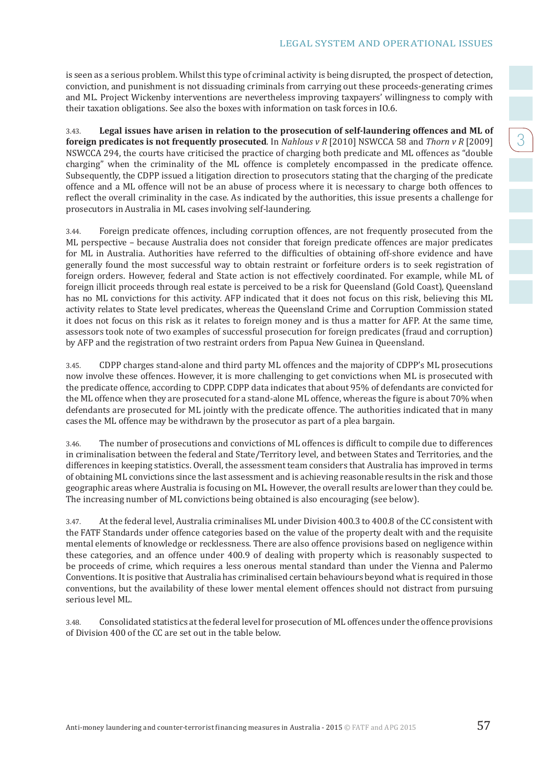is seen as a serious problem. Whilst this type of criminal activity is being disrupted, the prospect of detection, conviction, and punishment is not dissuading criminals from carrying out these proceeds-generating crimes and ML. Project Wickenby interventions are nevertheless improving taxpayers' willingness to comply with their taxation obligations. See also the boxes with information on task forces in IO.6.

3.43. **Legal issues have arisen in relation to the prosecution of self-laundering offences and ML of foreign predicates is not frequently prosecuted**. In *Nahlous v R* [2010] NSWCCA 58 and *Thorn v R* [2009] NSWCCA 294, the courts have criticised the practice of charging both predicate and ML offences as "double charging" when the criminality of the ML offence is completely encompassed in the predicate offence. Subsequently, the CDPP issued a litigation direction to prosecutors stating that the charging of the predicate offence and a ML offence will not be an abuse of process where it is necessary to charge both offences to reflect the overall criminality in the case. As indicated by the authorities, this issue presents a challenge for prosecutors in Australia in ML cases involving self-laundering.

3.44. Foreign predicate offences, including corruption offences, are not frequently prosecuted from the ML perspective – because Australia does not consider that foreign predicate offences are major predicates for ML in Australia. Authorities have referred to the difficulties of obtaining off-shore evidence and have generally found the most successful way to obtain restraint or forfeiture orders is to seek registration of foreign orders. However, federal and State action is not effectively coordinated. For example, while ML of foreign illicit proceeds through real estate is perceived to be a risk for Queensland (Gold Coast), Queensland has no ML convictions for this activity. AFP indicated that it does not focus on this risk, believing this ML activity relates to State level predicates, whereas the Queensland Crime and Corruption Commission stated it does not focus on this risk as it relates to foreign money and is thus a matter for AFP. At the same time, assessors took note of two examples of successful prosecution for foreign predicates (fraud and corruption) by AFP and the registration of two restraint orders from Papua New Guinea in Queensland.

3.45. CDPP charges stand-alone and third party ML offences and the majority of CDPP's ML prosecutions now involve these offences. However, it is more challenging to get convictions when ML is prosecuted with the predicate offence, according to CDPP. CDPP data indicates that about 95% of defendants are convicted for the ML offence when they are prosecuted for a stand-alone ML offence, whereas the figure is about 70% when defendants are prosecuted for ML jointly with the predicate offence. The authorities indicated that in many cases the ML offence may be withdrawn by the prosecutor as part of a plea bargain.

3.46. The number of prosecutions and convictions of ML offences is difficult to compile due to differences in criminalisation between the federal and State/Territory level, and between States and Territories, and the differences in keeping statistics. Overall, the assessment team considers that Australia has improved in terms of obtaining ML convictions since the last assessment and is achieving reasonable results in the risk and those geographic areas where Australia is focusing on ML. However, the overall results are lower than they could be. The increasing number of ML convictions being obtained is also encouraging (see below).

3.47. At the federal level, Australia criminalises ML under Division 400.3 to 400.8 of the CC consistent with the FATF Standards under offence categories based on the value of the property dealt with and the requisite mental elements of knowledge or recklessness. There are also offence provisions based on negligence within these categories, and an offence under 400.9 of dealing with property which is reasonably suspected to be proceeds of crime, which requires a less onerous mental standard than under the Vienna and Palermo Conventions. It is positive that Australia has criminalised certain behaviours beyond what is required in those conventions, but the availability of these lower mental element offences should not distract from pursuing serious level ML.

3.48. Consolidated statistics at the federal level for prosecution of ML offences under the offence provisions of Division 400 of the CC are set out in the table below.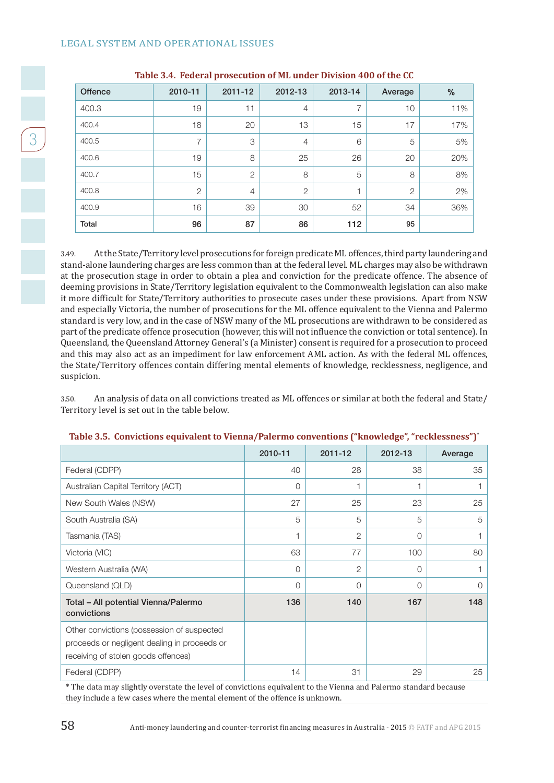| <b>Offence</b> | 2010-11        | 2011-12        | 2012-13        | 2013-14 | Average        | $\frac{0}{0}$ |
|----------------|----------------|----------------|----------------|---------|----------------|---------------|
| 400.3          | 19             | 11             | $\overline{4}$ |         | 10             | 11%           |
| 400.4          | 18             | 20             | 13             | 15      | 17             | 17%           |
| 400.5          | 7              | 3              | $\overline{4}$ | 6       | 5              | 5%            |
| 400.6          | 19             | 8              | 25             | 26      | 20             | 20%           |
| 400.7          | 15             | $\overline{2}$ | 8              | 5       | 8              | 8%            |
| 400.8          | $\overline{2}$ | $\overline{4}$ | $\overline{2}$ |         | $\overline{c}$ | 2%            |
| 400.9          | 16             | 39             | 30             | 52      | 34             | 36%           |
| <b>Total</b>   | 96             | 87             | 86             | 112     | 95             |               |

#### **Table 3.4. Federal prosecution of ML under Division 400 of the CC**

3.49. At the State/Territory level prosecutions for foreign predicate ML offences, third party laundering and stand-alone laundering charges are less common than at the federal level. ML charges may also be withdrawn at the prosecution stage in order to obtain a plea and conviction for the predicate offence. The absence of deeming provisions in State/Territory legislation equivalent to the Commonwealth legislation can also make it more difficult for State/Territory authorities to prosecute cases under these provisions. Apart from NSW and especially Victoria, the number of prosecutions for the ML offence equivalent to the Vienna and Palermo standard is very low, and in the case of NSW many of the ML prosecutions are withdrawn to be considered as part of the predicate offence prosecution (however, this will not influence the conviction or total sentence). In Queensland, the Queensland Attorney General's (a Minister) consent is required for a prosecution to proceed and this may also act as an impediment for law enforcement AML action. As with the federal ML offences, the State/Territory offences contain differing mental elements of knowledge, recklessness, negligence, and suspicion.

3.50. An analysis of data on all convictions treated as ML offences or similar at both the federal and State/ Territory level is set out in the table below.

|                                                                                                                                   | 2010-11 | 2011-12        | 2012-13  | Average |
|-----------------------------------------------------------------------------------------------------------------------------------|---------|----------------|----------|---------|
| Federal (CDPP)                                                                                                                    | 40      | 28             | 38       | 35      |
| Australian Capital Territory (ACT)                                                                                                | 0       | 1              |          |         |
| New South Wales (NSW)                                                                                                             | 27      | 25             | 23       | 25      |
| South Australia (SA)                                                                                                              | 5       | 5              | 5        | 5       |
| Tasmania (TAS)                                                                                                                    | 1       | $\overline{2}$ | $\Omega$ |         |
| Victoria (VIC)                                                                                                                    | 63      | 77             | 100      | 80      |
| Western Australia (WA)                                                                                                            | 0       | $\mathbf{2}$   | $\Omega$ |         |
| Queensland (QLD)                                                                                                                  | 0       | 0              | $\Omega$ | O       |
| Total - All potential Vienna/Palermo<br>convictions                                                                               | 136     | 140            | 167      | 148     |
| Other convictions (possession of suspected<br>proceeds or negligent dealing in proceeds or<br>receiving of stolen goods offences) |         |                |          |         |
| Federal (CDPP)                                                                                                                    | 14      | 31             | 29       | 25      |

#### **Table 3.5. Convictions equivalent to Vienna/Palermo conventions ("knowledge", "recklessness")\***

\* The data may slightly overstate the level of convictions equivalent to the Vienna and Palermo standard because they include a few cases where the mental element of the offence is unknown.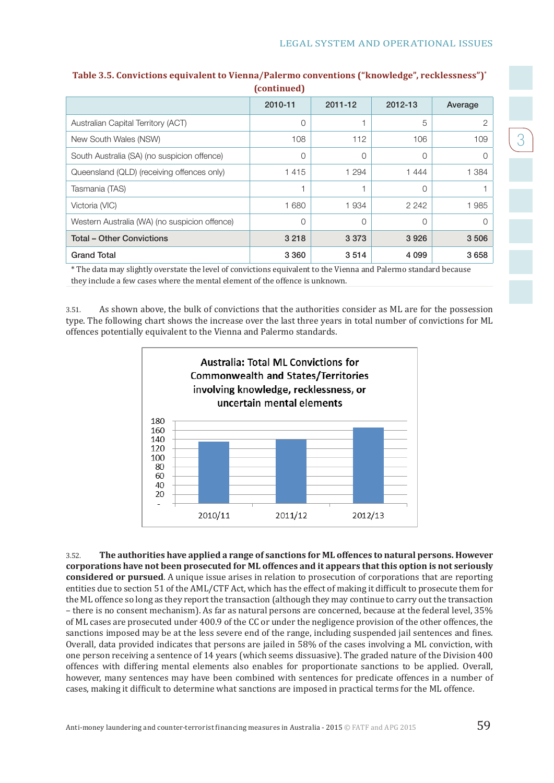3

|                                               | $\mathbf{u}$ |         |          |         |
|-----------------------------------------------|--------------|---------|----------|---------|
|                                               | 2010-11      | 2011-12 | 2012-13  | Average |
| Australian Capital Territory (ACT)            | 0            |         | 5        | 2       |
| New South Wales (NSW)                         | 108          | 112     | 106      | 109     |
| South Australia (SA) (no suspicion offence)   | $\Omega$     | 0       | $\Omega$ | ∩       |
| Queensland (QLD) (receiving offences only)    | 1415         | 1 2 9 4 | 1444     | 1 3 8 4 |
| Tasmania (TAS)                                |              |         | ∩        |         |
| Victoria (VIC)                                | 1680         | 1934    | 2 2 4 2  | 1985    |
| Western Australia (WA) (no suspicion offence) | 0            | 0       | $\Omega$ | 0       |
| <b>Total - Other Convictions</b>              | 3 2 1 8      | 3 3 7 3 | 3926     | 3506    |
| <b>Grand Total</b>                            | 3 3 6 0      | 3514    | 4 0 9 9  | 3658    |

#### **Table 3.5. Convictions equivalent to Vienna/Palermo conventions ("knowledge", recklessness")\* (continued)**

\* The data may slightly overstate the level of convictions equivalent to the Vienna and Palermo standard because they include a few cases where the mental element of the offence is unknown.

3.51. As shown above, the bulk of convictions that the authorities consider as ML are for the possession type. The following chart shows the increase over the last three years in total number of convictions for ML offences potentially equivalent to the Vienna and Palermo standards.



3.52. **The authorities have applied a range of sanctions for ML offences to natural persons. However corporations have not been prosecuted for ML offences and it appears that this option is not seriously considered or pursued**. A unique issue arises in relation to prosecution of corporations that are reporting entities due to section 51 of the AML/CTF Act, which has the effect of making it difficult to prosecute them for the ML offence so long as they report the transaction (although they may continue to carry out the transaction – there is no consent mechanism). As far as natural persons are concerned, because at the federal level, 35% of ML cases are prosecuted under 400.9 of the CC or under the negligence provision of the other offences, the sanctions imposed may be at the less severe end of the range, including suspended jail sentences and fines. Overall, data provided indicates that persons are jailed in 58% of the cases involving a ML conviction, with one person receiving a sentence of 14 years (which seems dissuasive). The graded nature of the Division 400 offences with differing mental elements also enables for proportionate sanctions to be applied. Overall, however, many sentences may have been combined with sentences for predicate offences in a number of cases, making it difficult to determine what sanctions are imposed in practical terms for the ML offence.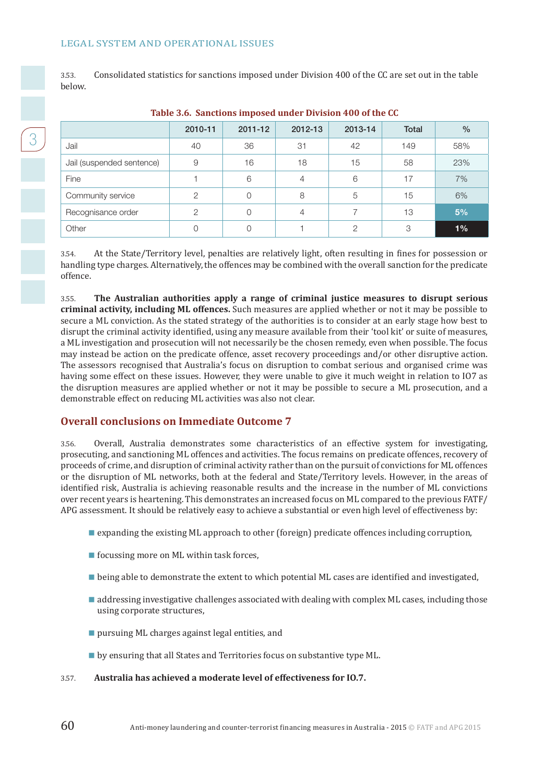3.53. Consolidated statistics for sanctions imposed under Division 400 of the CC are set out in the table below.

|                           | 2010-11       | 2011-12 | 2012-13 | 2013-14 | Total | $\frac{0}{0}$ |
|---------------------------|---------------|---------|---------|---------|-------|---------------|
| Jail                      | 40            | 36      | 31      | 42      | 149   | 58%           |
| Jail (suspended sentence) | 9             | 16      | 18      | 15      | 58    | 23%           |
| Fine                      |               | 6       | 4       | 6       | 17    | 7%            |
| Community service         | $\mathcal{D}$ | 0       | 8       | 5       | 15    | 6%            |
| Recognisance order        | ◠             | 0       | 4       |         | 13    | 5%            |
| Other                     |               | 0       |         | ∩       | 3     | 1%            |

#### **Table 3.6. Sanctions imposed under Division 400 of the CC**

3.54. At the State/Territory level, penalties are relatively light, often resulting in fines for possession or handling type charges. Alternatively, the offences may be combined with the overall sanction for the predicate offence.

3.55. **The Australian authorities apply a range of criminal justice measures to disrupt serious criminal activity, including ML offences.** Such measures are applied whether or not it may be possible to secure a ML conviction. As the stated strategy of the authorities is to consider at an early stage how best to disrupt the criminal activity identified, using any measure available from their 'tool kit' or suite of measures, a ML investigation and prosecution will not necessarily be the chosen remedy, even when possible. The focus may instead be action on the predicate offence, asset recovery proceedings and/or other disruptive action. The assessors recognised that Australia's focus on disruption to combat serious and organised crime was having some effect on these issues. However, they were unable to give it much weight in relation to IO7 as the disruption measures are applied whether or not it may be possible to secure a ML prosecution, and a demonstrable effect on reducing ML activities was also not clear.

#### **Overall conclusions on Immediate Outcome 7**

3.56. Overall, Australia demonstrates some characteristics of an effective system for investigating, prosecuting, and sanctioning ML offences and activities. The focus remains on predicate offences, recovery of proceeds of crime, and disruption of criminal activity rather than on the pursuit of convictions for ML offences or the disruption of ML networks, both at the federal and State/Territory levels. However, in the areas of identified risk, Australia is achieving reasonable results and the increase in the number of ML convictions over recent years is heartening. This demonstrates an increased focus on ML compared to the previous FATF/ APG assessment. It should be relatively easy to achieve a substantial or even high level of effectiveness by:

- **E** expanding the existing ML approach to other (foreign) predicate offences including corruption,
- $\blacksquare$  focussing more on ML within task forces,
- **Definition** being able to demonstrate the extent to which potential ML cases are identified and investigated,
- **addressing investigative challenges associated with dealing with complex ML cases, including those** using corporate structures,
- **pursuing ML charges against legal entities, and**
- **b** by ensuring that all States and Territories focus on substantive type ML.

3.57. **Australia has achieved a moderate level of effectiveness for IO.7.**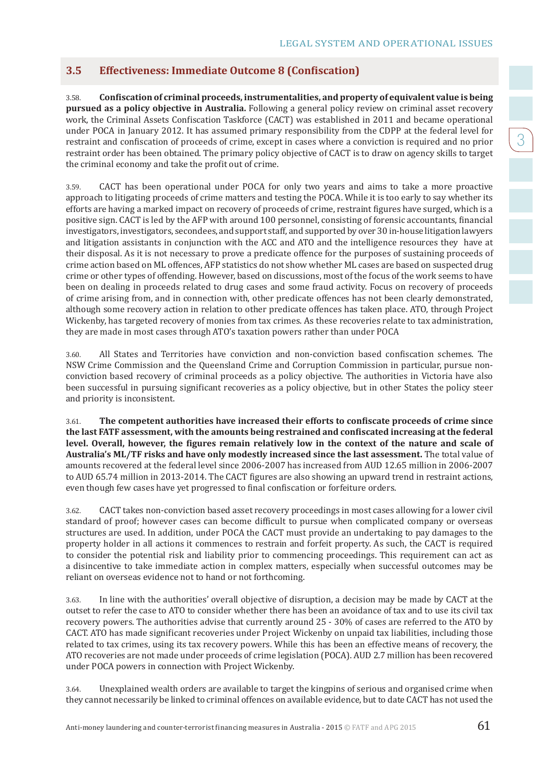### **3.5 Effectiveness: Immediate Outcome 8 (Confiscation)**

3.58. **Confiscation of criminal proceeds, instrumentalities, and property of equivalent value is being pursued as a policy objective in Australia.** Following a general policy review on criminal asset recovery work, the Criminal Assets Confiscation Taskforce (CACT) was established in 2011 and became operational under POCA in January 2012. It has assumed primary responsibility from the CDPP at the federal level for restraint and confiscation of proceeds of crime, except in cases where a conviction is required and no prior restraint order has been obtained. The primary policy objective of CACT is to draw on agency skills to target the criminal economy and take the profit out of crime.

3.59. CACT has been operational under POCA for only two years and aims to take a more proactive approach to litigating proceeds of crime matters and testing the POCA. While it is too early to say whether its efforts are having a marked impact on recovery of proceeds of crime, restraint figures have surged, which is a positive sign. CACT is led by the AFP with around 100 personnel, consisting of forensic accountants, financial investigators, investigators, secondees, and support staff, and supported by over 30 in-house litigation lawyers and litigation assistants in conjunction with the ACC and ATO and the intelligence resources they have at their disposal. As it is not necessary to prove a predicate offence for the purposes of sustaining proceeds of crime action based on ML offences, AFP statistics do not show whether ML cases are based on suspected drug crime or other types of offending. However, based on discussions, most of the focus of the work seems to have been on dealing in proceeds related to drug cases and some fraud activity. Focus on recovery of proceeds of crime arising from, and in connection with, other predicate offences has not been clearly demonstrated, although some recovery action in relation to other predicate offences has taken place. ATO, through Project Wickenby, has targeted recovery of monies from tax crimes. As these recoveries relate to tax administration, they are made in most cases through ATO's taxation powers rather than under POCA

3.60. All States and Territories have conviction and non-conviction based confiscation schemes. The NSW Crime Commission and the Queensland Crime and Corruption Commission in particular, pursue nonconviction based recovery of criminal proceeds as a policy objective. The authorities in Victoria have also been successful in pursuing significant recoveries as a policy objective, but in other States the policy steer and priority is inconsistent.

3.61. **The competent authorities have increased their efforts to confiscate proceeds of crime since the last FATF assessment, with the amounts being restrained and confiscated increasing at the federal level. Overall, however, the figures remain relatively low in the context of the nature and scale of Australia's ML/TF risks and have only modestly increased since the last assessment.** The total value of amounts recovered at the federal level since 2006-2007 has increased from AUD 12.65 million in 2006-2007 to AUD 65.74 million in 2013-2014. The CACT figures are also showing an upward trend in restraint actions, even though few cases have yet progressed to final confiscation or forfeiture orders.

3.62. CACT takes non-conviction based asset recovery proceedings in most cases allowing for a lower civil standard of proof; however cases can become difficult to pursue when complicated company or overseas structures are used. In addition, under POCA the CACT must provide an undertaking to pay damages to the property holder in all actions it commences to restrain and forfeit property. As such, the CACT is required to consider the potential risk and liability prior to commencing proceedings. This requirement can act as a disincentive to take immediate action in complex matters, especially when successful outcomes may be reliant on overseas evidence not to hand or not forthcoming.

3.63. In line with the authorities' overall objective of disruption, a decision may be made by CACT at the outset to refer the case to ATO to consider whether there has been an avoidance of tax and to use its civil tax recovery powers. The authorities advise that currently around 25 - 30% of cases are referred to the ATO by CACT. ATO has made significant recoveries under Project Wickenby on unpaid tax liabilities, including those related to tax crimes, using its tax recovery powers. While this has been an effective means of recovery, the ATO recoveries are not made under proceeds of crime legislation (POCA). AUD 2.7 million has been recovered under POCA powers in connection with Project Wickenby.

3.64. Unexplained wealth orders are available to target the kingpins of serious and organised crime when they cannot necessarily be linked to criminal offences on available evidence, but to date CACT has not used the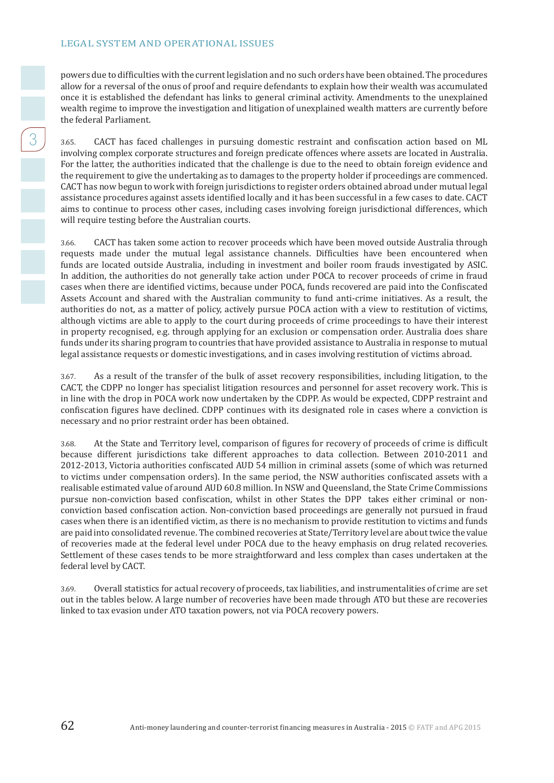powers due to difficulties with the current legislation and no such orders have been obtained. The procedures allow for a reversal of the onus of proof and require defendants to explain how their wealth was accumulated once it is established the defendant has links to general criminal activity. Amendments to the unexplained wealth regime to improve the investigation and litigation of unexplained wealth matters are currently before the federal Parliament.

3.65. CACT has faced challenges in pursuing domestic restraint and confiscation action based on ML involving complex corporate structures and foreign predicate offences where assets are located in Australia. For the latter, the authorities indicated that the challenge is due to the need to obtain foreign evidence and the requirement to give the undertaking as to damages to the property holder if proceedings are commenced. CACT has now begun to work with foreign jurisdictions to register orders obtained abroad under mutual legal assistance procedures against assets identified locally and it has been successful in a few cases to date. CACT aims to continue to process other cases, including cases involving foreign jurisdictional differences, which will require testing before the Australian courts.

3.66. CACT has taken some action to recover proceeds which have been moved outside Australia through requests made under the mutual legal assistance channels. Difficulties have been encountered when funds are located outside Australia, including in investment and boiler room frauds investigated by ASIC. In addition, the authorities do not generally take action under POCA to recover proceeds of crime in fraud cases when there are identified victims, because under POCA, funds recovered are paid into the Confiscated Assets Account and shared with the Australian community to fund anti-crime initiatives. As a result, the authorities do not, as a matter of policy, actively pursue POCA action with a view to restitution of victims, although victims are able to apply to the court during proceeds of crime proceedings to have their interest in property recognised, e.g. through applying for an exclusion or compensation order. Australia does share funds under its sharing program to countries that have provided assistance to Australia in response to mutual legal assistance requests or domestic investigations, and in cases involving restitution of victims abroad.

3.67. As a result of the transfer of the bulk of asset recovery responsibilities, including litigation, to the CACT, the CDPP no longer has specialist litigation resources and personnel for asset recovery work. This is in line with the drop in POCA work now undertaken by the CDPP. As would be expected, CDPP restraint and confiscation figures have declined. CDPP continues with its designated role in cases where a conviction is necessary and no prior restraint order has been obtained.

3.68. At the State and Territory level, comparison of figures for recovery of proceeds of crime is difficult because different jurisdictions take different approaches to data collection. Between 2010-2011 and 2012-2013, Victoria authorities confiscated AUD 54 million in criminal assets (some of which was returned to victims under compensation orders). In the same period, the NSW authorities confiscated assets with a realisable estimated value of around AUD 60.8 million. In NSW and Queensland, the State Crime Commissions pursue non-conviction based confiscation, whilst in other States the DPP takes either criminal or nonconviction based confiscation action. Non-conviction based proceedings are generally not pursued in fraud cases when there is an identified victim, as there is no mechanism to provide restitution to victims and funds are paid into consolidated revenue. The combined recoveries at State/Territory level are about twice the value of recoveries made at the federal level under POCA due to the heavy emphasis on drug related recoveries. Settlement of these cases tends to be more straightforward and less complex than cases undertaken at the federal level by CACT.

3.69. Overall statistics for actual recovery of proceeds, tax liabilities, and instrumentalities of crime are set out in the tables below. A large number of recoveries have been made through ATO but these are recoveries linked to tax evasion under ATO taxation powers, not via POCA recovery powers.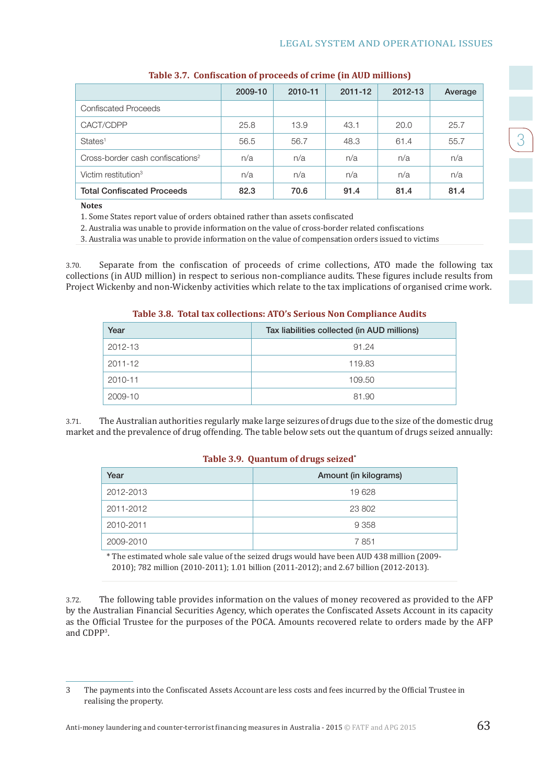$\frac{1}{3}$ 

|                                              | 2009-10 | 2010-11 | 2011-12 | 2012-13 | Average |
|----------------------------------------------|---------|---------|---------|---------|---------|
| Confiscated Proceeds                         |         |         |         |         |         |
| CACT/CDPP                                    | 25.8    | 13.9    | 43.1    | 20.0    | 25.7    |
| States <sup>1</sup>                          | 56.5    | 56.7    | 48.3    | 61.4    | 55.7    |
| Cross-border cash confiscations <sup>2</sup> | n/a     | n/a     | n/a     | n/a     | n/a     |
| Victim restitution <sup>3</sup>              | n/a     | n/a     | n/a     | n/a     | n/a     |
| <b>Total Confiscated Proceeds</b>            | 82.3    | 70.6    | 91.4    | 81.4    | 81.4    |

#### **Table 3.7. Confiscation of proceeds of crime (in AUD millions)**

**Notes**

1. Some States report value of orders obtained rather than assets confiscated

2. Australia was unable to provide information on the value of cross-border related confiscations

3. Australia was unable to provide information on the value of compensation orders issued to victims

3.70. Separate from the confiscation of proceeds of crime collections, ATO made the following tax collections (in AUD million) in respect to serious non-compliance audits. These figures include results from Project Wickenby and non-Wickenby activities which relate to the tax implications of organised crime work.

#### **Table 3.8. Total tax collections: ATO's Serious Non Compliance Audits**

| Year    | Tax liabilities collected (in AUD millions) |
|---------|---------------------------------------------|
| 2012-13 | 91.24                                       |
| 2011-12 | 119.83                                      |
| 2010-11 | 109.50                                      |
| 2009-10 | 81.90                                       |

3.71. The Australian authorities regularly make large seizures of drugs due to the size of the domestic drug market and the prevalence of drug offending. The table below sets out the quantum of drugs seized annually:

#### **Table 3.9. Quantum of drugs seized\***

| Year      | Amount (in kilograms) |
|-----------|-----------------------|
| 2012-2013 | 19628                 |
| 2011-2012 | 23 802                |
| 2010-2011 | 9 3 5 8               |
| 2009-2010 | 7851                  |

\* The estimated whole sale value of the seized drugs would have been AUD 438 million (2009- 2010); 782 million (2010-2011); 1.01 billion (2011-2012); and 2.67 billion (2012-2013).

3.72. The following table provides information on the values of money recovered as provided to the AFP by the Australian Financial Securities Agency, which operates the Confiscated Assets Account in its capacity as the Official Trustee for the purposes of the POCA. Amounts recovered relate to orders made by the AFP and CDPP3 .

<sup>3</sup> The payments into the Confiscated Assets Account are less costs and fees incurred by the Official Trustee in realising the property.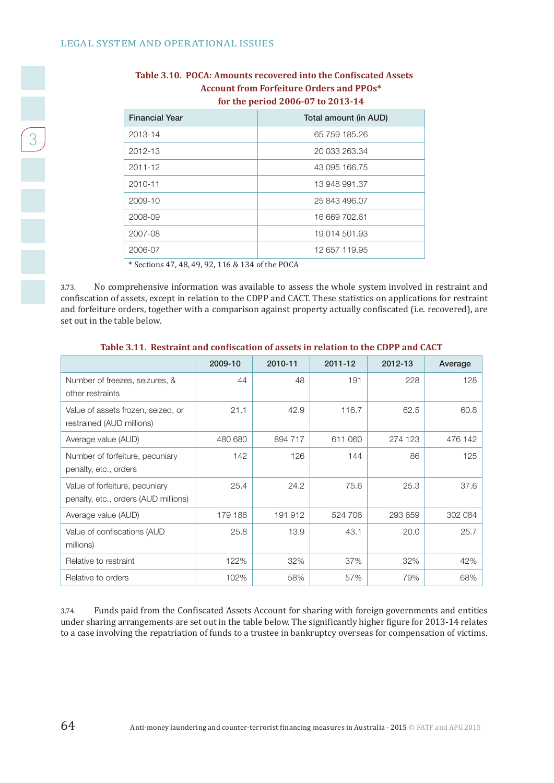| <b>Financial Year</b>                            | Total amount (in AUD) |  |  |  |
|--------------------------------------------------|-----------------------|--|--|--|
| 2013-14                                          | 65 759 185.26         |  |  |  |
| 2012-13                                          | 20 033 263.34         |  |  |  |
| $2011 - 12$                                      | 43 095 166.75         |  |  |  |
| 2010-11                                          | 13 948 991.37         |  |  |  |
| 2009-10                                          | 25 843 496.07         |  |  |  |
| 2008-09                                          | 16 669 702.61         |  |  |  |
| 2007-08                                          | 19 014 501.93         |  |  |  |
| 2006-07                                          | 12 657 119.95         |  |  |  |
| * Sections 47, 48, 49, 92, 116 & 134 of the POCA |                       |  |  |  |

#### **Table 3.10. POCA: Amounts recovered into the Confiscated Assets Account from Forfeiture Orders and PPOs\* for the period 2006-07 to 2013-14**

3.73. No comprehensive information was available to assess the whole system involved in restraint and confiscation of assets, except in relation to the CDPP and CACT. These statistics on applications for restraint and forfeiture orders, together with a comparison against property actually confiscated (i.e. recovered), are set out in the table below.

|                                                                        | 2009-10 | 2010-11 | 2011-12 | 2012-13 | Average |
|------------------------------------------------------------------------|---------|---------|---------|---------|---------|
| Number of freezes, seizures, &<br>other restraints                     | 44      | 48      | 191     | 228     | 128     |
| Value of assets frozen, seized, or<br>restrained (AUD millions)        | 21.1    | 42.9    | 116.7   | 62.5    | 60.8    |
| Average value (AUD)                                                    | 480 680 | 894 717 | 611 060 | 274 123 | 476 142 |
| Number of forfeiture, pecuniary<br>penalty, etc., orders               | 142     | 126     | 144     | 86      | 125     |
| Value of forfeiture, pecuniary<br>penalty, etc., orders (AUD millions) | 25.4    | 24.2    | 75.6    | 25.3    | 37.6    |
| Average value (AUD)                                                    | 179 186 | 191 912 | 524 706 | 293 659 | 302 084 |
| Value of confiscations (AUD<br>millions)                               | 25.8    | 13.9    | 43.1    | 20.0    | 25.7    |
| Relative to restraint                                                  | 122%    | 32%     | 37%     | 32%     | 42%     |
| Relative to orders                                                     | 102%    | 58%     | 57%     | 79%     | 68%     |

#### **Table 3.11. Restraint and confiscation of assets in relation to the CDPP and CACT**

3.74. Funds paid from the Confiscated Assets Account for sharing with foreign governments and entities under sharing arrangements are set out in the table below. The significantly higher figure for 2013-14 relates to a case involving the repatriation of funds to a trustee in bankruptcy overseas for compensation of victims.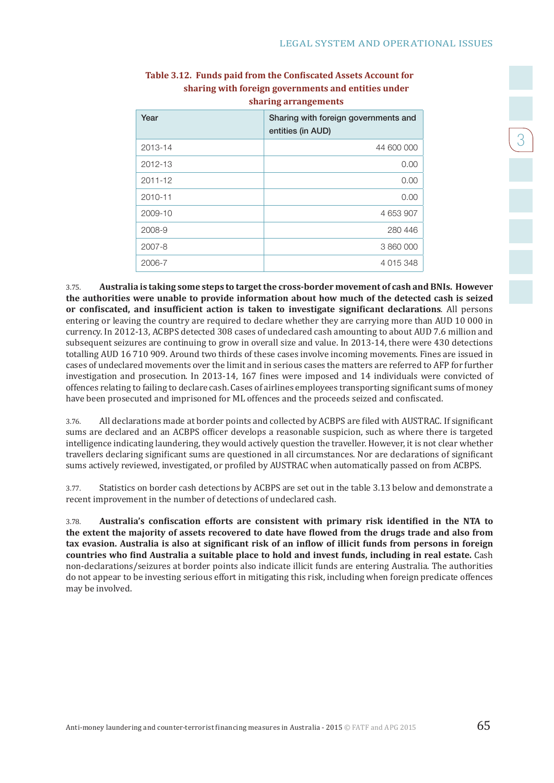$\begin{bmatrix} 3 \end{bmatrix}$ 

| Year        | Sharing with foreign governments and<br>entities (in AUD) |
|-------------|-----------------------------------------------------------|
| 2013-14     | 44 600 000                                                |
| 2012-13     | 0.00                                                      |
| $2011 - 12$ | 0.00                                                      |
| 2010-11     | 0.00                                                      |
| 2009-10     | 4 653 907                                                 |
| 2008-9      | 280 446                                                   |
| 2007-8      | 3 860 000                                                 |
| 2006-7      | 4 015 348                                                 |

#### **Table 3.12. Funds paid from the Confiscated Assets Account for sharing with foreign governments and entities under sharing arrangements**

3.75. **Australia is taking some steps to target the cross-border movement of cash and BNIs. However the authorities were unable to provide information about how much of the detected cash is seized or confiscated, and insufficient action is taken to investigate significant declarations***.* All persons entering or leaving the country are required to declare whether they are carrying more than AUD 10 000 in currency. In 2012-13, ACBPS detected 308 cases of undeclared cash amounting to about AUD 7.6 million and subsequent seizures are continuing to grow in overall size and value. In 2013-14, there were 430 detections totalling AUD 16 710 909. Around two thirds of these cases involve incoming movements. Fines are issued in cases of undeclared movements over the limit and in serious cases the matters are referred to AFP for further investigation and prosecution. In 2013-14, 167 fines were imposed and 14 individuals were convicted of offences relating to failing to declare cash. Cases of airlines employees transporting significant sums of money have been prosecuted and imprisoned for ML offences and the proceeds seized and confiscated.

3.76. All declarations made at border points and collected by ACBPS are filed with AUSTRAC. If significant sums are declared and an ACBPS officer develops a reasonable suspicion, such as where there is targeted intelligence indicating laundering, they would actively question the traveller. However, it is not clear whether travellers declaring significant sums are questioned in all circumstances. Nor are declarations of significant sums actively reviewed, investigated, or profiled by AUSTRAC when automatically passed on from ACBPS.

3.77. Statistics on border cash detections by ACBPS are set out in the table 3.13 below and demonstrate a recent improvement in the number of detections of undeclared cash.

3.78. **Australia's confiscation efforts are consistent with primary risk identified in the NTA to the extent the majority of assets recovered to date have flowed from the drugs trade and also from tax evasion. Australia is also at significant risk of an inflow of illicit funds from persons in foreign countries who find Australia a suitable place to hold and invest funds, including in real estate.** Cash non-declarations/seizures at border points also indicate illicit funds are entering Australia. The authorities do not appear to be investing serious effort in mitigating this risk, including when foreign predicate offences may be involved.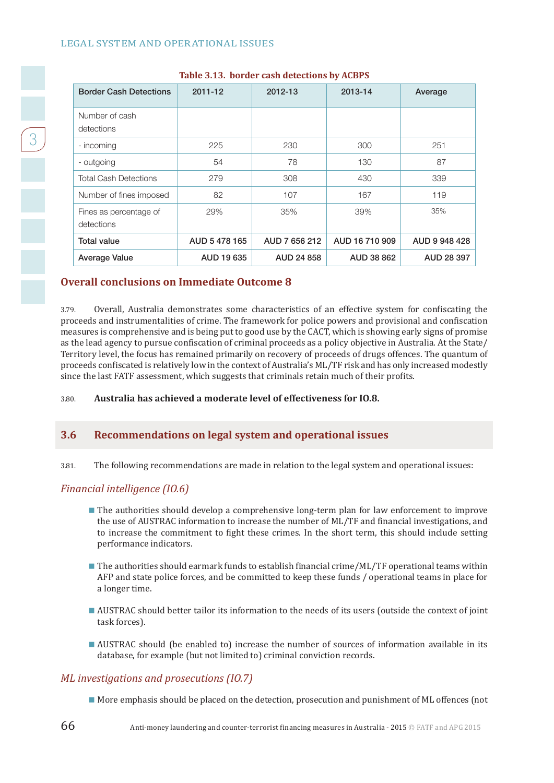| <b>Border Cash Detections</b>        | 2011-12       | 2012-13       | 2013-14        | Average       |
|--------------------------------------|---------------|---------------|----------------|---------------|
| Number of cash<br>detections         |               |               |                |               |
| - incoming                           | 225           | 230           | 300            | 251           |
| - outgoing                           | 54            | 78            | 130            | 87            |
| <b>Total Cash Detections</b>         | 279           | 308           | 430            | 339           |
| Number of fines imposed              | 82            | 107           | 167            | 119           |
| Fines as percentage of<br>detections | 29%           | 35%           | 39%            | 35%           |
| <b>Total value</b>                   | AUD 5 478 165 | AUD 7 656 212 | AUD 16 710 909 | AUD 9 948 428 |
| <b>Average Value</b>                 | AUD 19 635    | AUD 24 858    | AUD 38 862     | AUD 28 397    |

#### **Table 3.13. border cash detections by ACBPS**

#### **Overall conclusions on Immediate Outcome 8**

3.79. Overall, Australia demonstrates some characteristics of an effective system for confiscating the proceeds and instrumentalities of crime. The framework for police powers and provisional and confiscation measures is comprehensive and is being put to good use by the CACT, which is showing early signs of promise as the lead agency to pursue confiscation of criminal proceeds as a policy objective in Australia. At the State/ Territory level, the focus has remained primarily on recovery of proceeds of drugs offences. The quantum of proceeds confiscated is relatively low in the context of Australia's ML/TF risk and has only increased modestly since the last FATF assessment, which suggests that criminals retain much of their profits.

#### 3.80. **Australia has achieved a moderate level of effectiveness for IO.8.**

#### **3.6 Recommendations on legal system and operational issues**

3.81. The following recommendations are made in relation to the legal system and operational issues:

#### *Financial intelligence (IO.6)*

- **The authorities should develop a comprehensive long-term plan for law enforcement to improve** the use of AUSTRAC information to increase the number of ML/TF and financial investigations, and to increase the commitment to fight these crimes. In the short term, this should include setting performance indicators.
- $\blacksquare$  The authorities should earmark funds to establish financial crime/ML/TF operational teams within AFP and state police forces, and be committed to keep these funds / operational teams in place for a longer time.
- AUSTRAC should better tailor its information to the needs of its users (outside the context of joint task forces).
- AUSTRAC should (be enabled to) increase the number of sources of information available in its database, for example (but not limited to) criminal conviction records.

#### *ML investigations and prosecutions (IO.7)*

More emphasis should be placed on the detection, prosecution and punishment of ML offences (not

 $\begin{array}{|c|c|c|}\n\hline\n3\n\end{array}$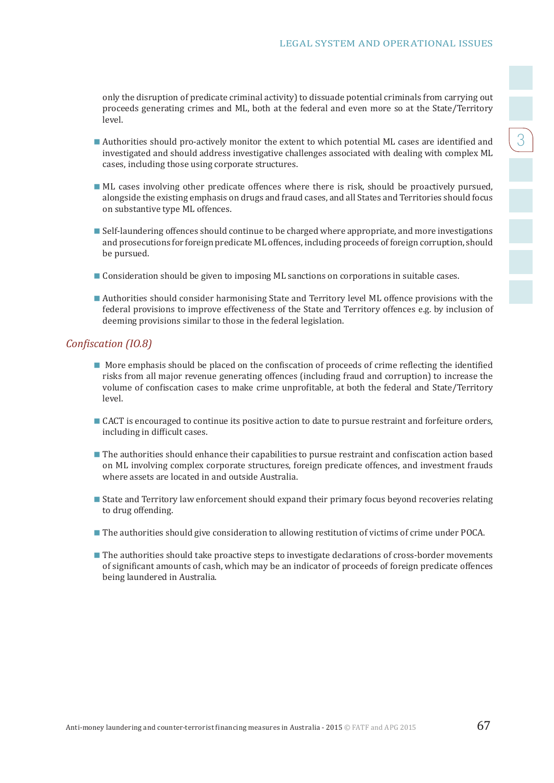only the disruption of predicate criminal activity) to dissuade potential criminals from carrying out proceeds generating crimes and ML, both at the federal and even more so at the State/Territory level.

- Authorities should pro-actively monitor the extent to which potential ML cases are identified and investigated and should address investigative challenges associated with dealing with complex ML cases, including those using corporate structures.
- ML cases involving other predicate offences where there is risk, should be proactively pursued, alongside the existing emphasis on drugs and fraud cases, and all States and Territories should focus on substantive type ML offences.
- **Self-laundering offences should continue to be charged where appropriate, and more investigations** and prosecutions for foreign predicate ML offences, including proceeds of foreign corruption, should be pursued.
- **Consideration should be given to imposing ML sanctions on corporations in suitable cases.**
- Authorities should consider harmonising State and Territory level ML offence provisions with the federal provisions to improve effectiveness of the State and Territory offences e.g. by inclusion of deeming provisions similar to those in the federal legislation.

#### *Confiscation (IO.8)*

- **More emphasis should be placed on the confiscation of proceeds of crime reflecting the identified** risks from all major revenue generating offences (including fraud and corruption) to increase the volume of confiscation cases to make crime unprofitable, at both the federal and State/Territory level.
- CACT is encouraged to continue its positive action to date to pursue restraint and forfeiture orders, including in difficult cases.
- The authorities should enhance their capabilities to pursue restraint and confiscation action based on ML involving complex corporate structures, foreign predicate offences, and investment frauds where assets are located in and outside Australia.
- State and Territory law enforcement should expand their primary focus beyond recoveries relating to drug offending.
- **The authorities should give consideration to allowing restitution of victims of crime under POCA.**
- **The authorities should take proactive steps to investigate declarations of cross-border movements** of significant amounts of cash, which may be an indicator of proceeds of foreign predicate offences being laundered in Australia.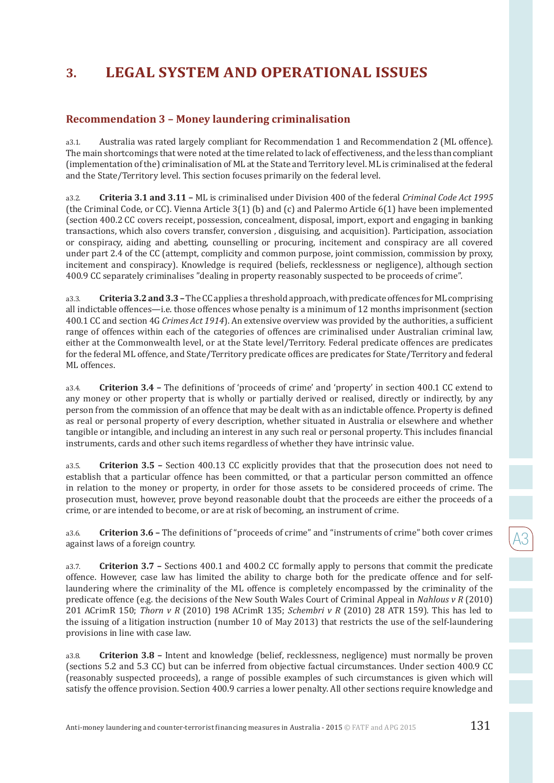## **Recommendation 3 – Money laundering criminalisation**

a3.1. Australia was rated largely compliant for Recommendation 1 and Recommendation 2 (ML offence). The main shortcomings that were noted at the time related to lack of effectiveness, and the less than compliant (implementation of the) criminalisation of ML at the State and Territory level. ML is criminalised at the federal and the State/Territory level. This section focuses primarily on the federal level.

a3.2. **Criteria 3.1 and 3.11 –** ML is criminalised under Division 400 of the federal *Criminal Code Act 1995* (the Criminal Code, or CC). Vienna Article 3(1) (b) and (c) and Palermo Article 6(1) have been implemented (section 400.2 CC covers receipt, possession, concealment, disposal, import, export and engaging in banking transactions, which also covers transfer, conversion , disguising, and acquisition). Participation, association or conspiracy, aiding and abetting, counselling or procuring, incitement and conspiracy are all covered under part 2.4 of the CC (attempt, complicity and common purpose, joint commission, commission by proxy, incitement and conspiracy). Knowledge is required (beliefs, recklessness or negligence), although section 400.9 CC separately criminalises "dealing in property reasonably suspected to be proceeds of crime".

a3.3. **Criteria 3.2 and 3.3 –** The CC applies a threshold approach, with predicate offences for ML comprising all indictable offences—i.e. those offences whose penalty is a minimum of 12 months imprisonment (section 400.1 CC and section 4G *Crimes Act 1914*). An extensive overview was provided by the authorities, a sufficient range of offences within each of the categories of offences are criminalised under Australian criminal law, either at the Commonwealth level, or at the State level/Territory. Federal predicate offences are predicates for the federal ML offence, and State/Territory predicate offices are predicates for State/Territory and federal ML offences.

a3.4. **Criterion 3.4 –** The definitions of 'proceeds of crime' and 'property' in section 400.1 CC extend to any money or other property that is wholly or partially derived or realised, directly or indirectly, by any person from the commission of an offence that may be dealt with as an indictable offence. Property is defined as real or personal property of every description, whether situated in Australia or elsewhere and whether tangible or intangible, and including an interest in any such real or personal property. This includes financial instruments, cards and other such items regardless of whether they have intrinsic value.

a3.5. **Criterion 3.5 –** Section 400.13 CC explicitly provides that that the prosecution does not need to establish that a particular offence has been committed, or that a particular person committed an offence in relation to the money or property, in order for those assets to be considered proceeds of crime. The prosecution must, however, prove beyond reasonable doubt that the proceeds are either the proceeds of a crime, or are intended to become, or are at risk of becoming, an instrument of crime.

a3.6. **Criterion 3.6 –** The definitions of "proceeds of crime" and "instruments of crime" both cover crimes against laws of a foreign country.

a3.7. **Criterion 3.7 –** Sections 400.1 and 400.2 CC formally apply to persons that commit the predicate offence. However, case law has limited the ability to charge both for the predicate offence and for selflaundering where the criminality of the ML offence is completely encompassed by the criminality of the predicate offence (e.g. the decisions of the New South Wales Court of Criminal Appeal in *Nahlous v R* (2010) 201 ACrimR 150; *Thorn v R* (2010) 198 ACrimR 135; *Schembri v R* (2010) 28 ATR 159). This has led to the issuing of a litigation instruction (number 10 of May 2013) that restricts the use of the self-laundering provisions in line with case law.

a3.8. **Criterion 3.8 –** Intent and knowledge (belief, recklessness, negligence) must normally be proven (sections 5.2 and 5.3 CC) but can be inferred from objective factual circumstances. Under section 400.9 CC (reasonably suspected proceeds), a range of possible examples of such circumstances is given which will satisfy the offence provision. Section 400.9 carries a lower penalty. All other sections require knowledge and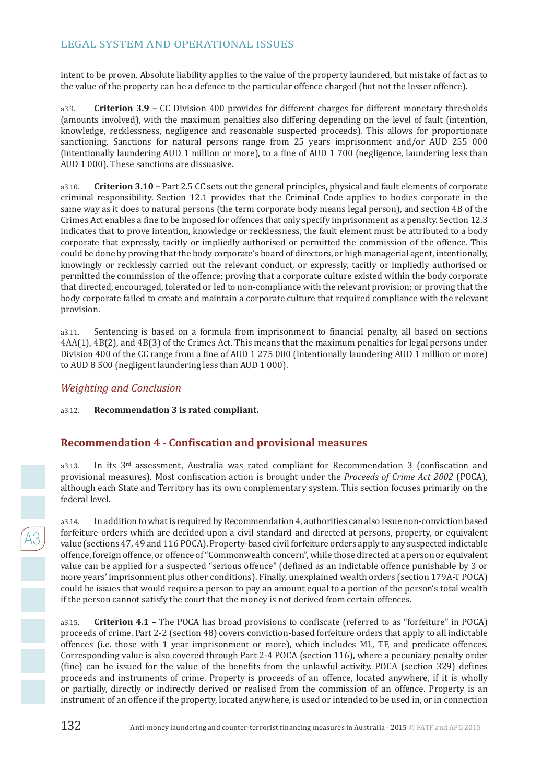intent to be proven. Absolute liability applies to the value of the property laundered, but mistake of fact as to the value of the property can be a defence to the particular offence charged (but not the lesser offence).

a3.9. **Criterion 3.9 –** CC Division 400 provides for different charges for different monetary thresholds (amounts involved), with the maximum penalties also differing depending on the level of fault (intention, knowledge, recklessness, negligence and reasonable suspected proceeds). This allows for proportionate sanctioning. Sanctions for natural persons range from 25 years imprisonment and/or AUD 255 000 (intentionally laundering AUD 1 million or more), to a fine of AUD 1 700 (negligence, laundering less than AUD 1 000). These sanctions are dissuasive.

a3.10. **Criterion 3.10 –** Part 2.5 CC sets out the general principles, physical and fault elements of corporate criminal responsibility. Section 12.1 provides that the Criminal Code applies to bodies corporate in the same way as it does to natural persons (the term corporate body means legal person), and section 4B of the Crimes Act enables a fine to be imposed for offences that only specify imprisonment as a penalty. Section 12.3 indicates that to prove intention, knowledge or recklessness, the fault element must be attributed to a body corporate that expressly, tacitly or impliedly authorised or permitted the commission of the offence. This could be done by proving that the body corporate's board of directors, or high managerial agent, intentionally, knowingly or recklessly carried out the relevant conduct, or expressly, tacitly or impliedly authorised or permitted the commission of the offence; proving that a corporate culture existed within the body corporate that directed, encouraged, tolerated or led to non-compliance with the relevant provision; or proving that the body corporate failed to create and maintain a corporate culture that required compliance with the relevant provision.

a3.11. Sentencing is based on a formula from imprisonment to financial penalty, all based on sections 4AA(1), 4B(2), and 4B(3) of the Crimes Act. This means that the maximum penalties for legal persons under Division 400 of the CC range from a fine of AUD 1 275 000 (intentionally laundering AUD 1 million or more) to AUD 8 500 (negligent laundering less than AUD 1 000).

### *Weighting and Conclusion*

#### a3.12. **Recommendation 3 is rated compliant.**

## **Recommendation 4 - Confiscation and provisional measures**

a3.13. In its 3<sup>rd</sup> assessment, Australia was rated compliant for Recommendation 3 (confiscation and provisional measures). Most confiscation action is brought under the *Proceeds of Crime Act 2002* (POCA), although each State and Territory has its own complementary system. This section focuses primarily on the federal level.

a3.14. In addition to what is required by Recommendation 4, authorities can also issue non-conviction based forfeiture orders which are decided upon a civil standard and directed at persons, property, or equivalent value (sections 47, 49 and 116 POCA). Property-based civil forfeiture orders apply to any suspected indictable offence, foreign offence, or offence of "Commonwealth concern", while those directed at a person or equivalent value can be applied for a suspected "serious offence" (defined as an indictable offence punishable by 3 or more years' imprisonment plus other conditions). Finally, unexplained wealth orders (section 179A-T POCA) could be issues that would require a person to pay an amount equal to a portion of the person's total wealth if the person cannot satisfy the court that the money is not derived from certain offences.

a3.15. **Criterion 4.1 –** The POCA has broad provisions to confiscate (referred to as "forfeiture" in POCA) proceeds of crime. Part 2-2 (section 48) covers conviction-based forfeiture orders that apply to all indictable offences (i.e. those with 1 year imprisonment or more), which includes ML, TF, and predicate offences. Corresponding value is also covered through Part 2-4 POCA (section 116), where a pecuniary penalty order (fine) can be issued for the value of the benefits from the unlawful activity. POCA (section 329) defines proceeds and instruments of crime. Property is proceeds of an offence, located anywhere, if it is wholly or partially, directly or indirectly derived or realised from the commission of an offence. Property is an instrument of an offence if the property, located anywhere, is used or intended to be used in, or in connection

 $\overline{A3}$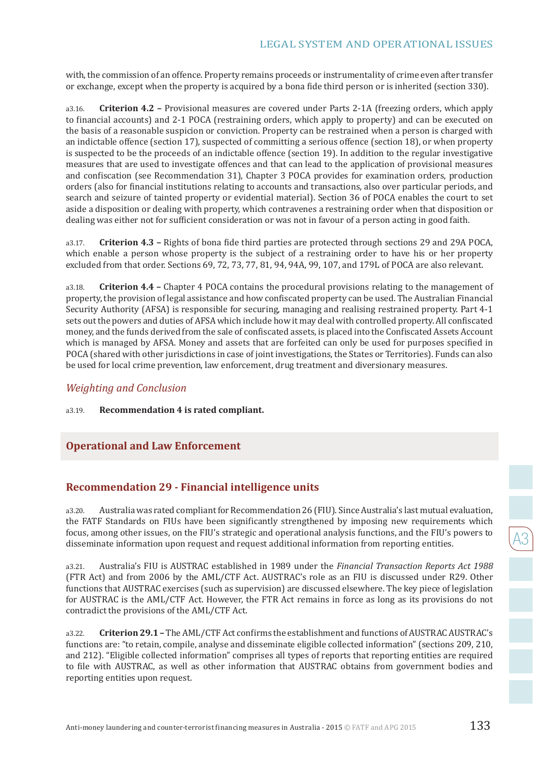with, the commission of an offence. Property remains proceeds or instrumentality of crime even after transfer or exchange, except when the property is acquired by a bona fide third person or is inherited (section 330).

a3.16. **Criterion 4.2 –** Provisional measures are covered under Parts 2-1A (freezing orders, which apply to financial accounts) and 2-1 POCA (restraining orders, which apply to property) and can be executed on the basis of a reasonable suspicion or conviction. Property can be restrained when a person is charged with an indictable offence (section 17), suspected of committing a serious offence (section 18), or when property is suspected to be the proceeds of an indictable offence (section 19). In addition to the regular investigative measures that are used to investigate offences and that can lead to the application of provisional measures and confiscation (see Recommendation 31), Chapter 3 POCA provides for examination orders, production orders (also for financial institutions relating to accounts and transactions, also over particular periods, and search and seizure of tainted property or evidential material). Section 36 of POCA enables the court to set aside a disposition or dealing with property, which contravenes a restraining order when that disposition or dealing was either not for sufficient consideration or was not in favour of a person acting in good faith.

a3.17. **Criterion 4.3 –** Rights of bona fide third parties are protected through sections 29 and 29A POCA, which enable a person whose property is the subject of a restraining order to have his or her property excluded from that order. Sections 69, 72, 73, 77, 81, 94, 94A, 99, 107, and 179L of POCA are also relevant.

a3.18. **Criterion 4.4 –** Chapter 4 POCA contains the procedural provisions relating to the management of property, the provision of legal assistance and how confiscated property can be used. The Australian Financial Security Authority (AFSA) is responsible for securing, managing and realising restrained property. Part 4-1 sets out the powers and duties of AFSA which include how it may deal with controlled property. All confiscated money, and the funds derived from the sale of confiscated assets, is placed into the Confiscated Assets Account which is managed by AFSA. Money and assets that are forfeited can only be used for purposes specified in POCA (shared with other jurisdictions in case of joint investigations, the States or Territories). Funds can also be used for local crime prevention, law enforcement, drug treatment and diversionary measures.

#### *Weighting and Conclusion*

a3.19. **Recommendation 4 is rated compliant.**

## **Operational and Law Enforcement**

#### **Recommendation 29 - Financial intelligence units**

a3.20. Australia was rated compliant for Recommendation 26 (FIU). Since Australia's last mutual evaluation, the FATF Standards on FIUs have been significantly strengthened by imposing new requirements which focus, among other issues, on the FIU's strategic and operational analysis functions, and the FIU's powers to disseminate information upon request and request additional information from reporting entities.

a3.21. Australia's FIU is AUSTRAC established in 1989 under the *Financial Transaction Reports Act 1988* (FTR Act) and from 2006 by the AML/CTF Act. AUSTRAC's role as an FIU is discussed under R29. Other functions that AUSTRAC exercises (such as supervision) are discussed elsewhere. The key piece of legislation for AUSTRAC is the AML/CTF Act. However, the FTR Act remains in force as long as its provisions do not contradict the provisions of the AML/CTF Act.

a3.22. **Criterion 29.1 –** The AML/CTF Act confirms the establishment and functions of AUSTRAC AUSTRAC's functions are: "to retain, compile, analyse and disseminate eligible collected information" (sections 209, 210, and 212). "Eligible collected information" comprises all types of reports that reporting entities are required to file with AUSTRAC, as well as other information that AUSTRAC obtains from government bodies and reporting entities upon request.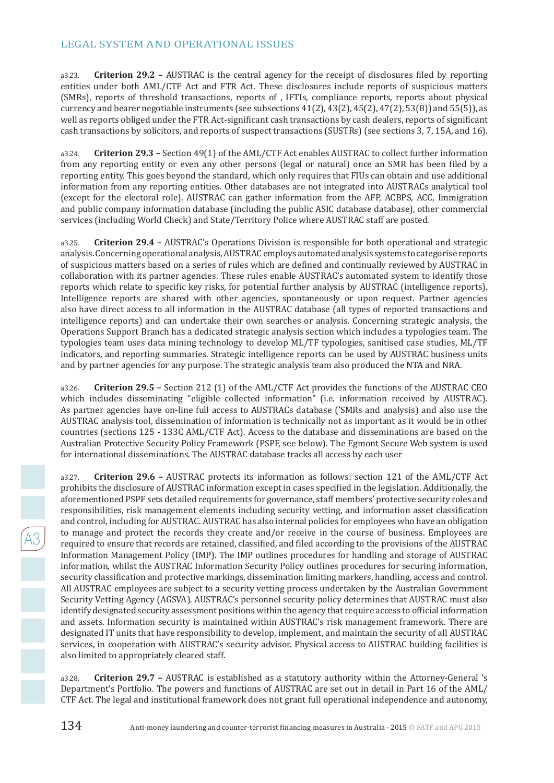a3.23. **Criterion 29.2 –** AUSTRAC is the central agency for the receipt of disclosures filed by reporting entities under both AML/CTF Act and FTR Act. These disclosures include reports of suspicious matters (SMRs), reports of threshold transactions, reports of , IFTIs, compliance reports, reports about physical currency and bearer negotiable instruments (see subsections  $41(2)$ ,  $43(2)$ ,  $45(2)$ ,  $47(2)$ ,  $53(8)$ ) and  $55(5)$ ), as well as reports obliged under the FTR Act-significant cash transactions by cash dealers, reports of significant cash transactions by solicitors, and reports of suspect transactions (SUSTRs) (see sections 3, 7, 15A, and 16).

a3.24. **Criterion 29.3 –** Section 49(1) of the AML/CTF Act enables AUSTRAC to collect further information from any reporting entity or even any other persons (legal or natural) once an SMR has been filed by a reporting entity. This goes beyond the standard, which only requires that FIUs can obtain and use additional information from any reporting entities. Other databases are not integrated into AUSTRACs analytical tool (except for the electoral role). AUSTRAC can gather information from the AFP, ACBPS, ACC, Immigration and public company information database (including the public ASIC database database), other commercial services (including World Check) and State/Territory Police where AUSTRAC staff are posted.

a3.25. **Criterion 29.4 –** AUSTRAC's Operations Division is responsible for both operational and strategic analysis. Concerning operational analysis, AUSTRAC employs automated analysis systems to categorise reports of suspicious matters based on a series of rules which are defined and continually reviewed by AUSTRAC in collaboration with its partner agencies. These rules enable AUSTRAC's automated system to identify those reports which relate to specific key risks, for potential further analysis by AUSTRAC (intelligence reports). Intelligence reports are shared with other agencies, spontaneously or upon request. Partner agencies also have direct access to all information in the AUSTRAC database (all types of reported transactions and intelligence reports) and can undertake their own searches or analysis. Concerning strategic analysis, the Operations Support Branch has a dedicated strategic analysis section which includes a typologies team. The typologies team uses data mining technology to develop ML/TF typologies, sanitised case studies, ML/TF indicators, and reporting summaries. Strategic intelligence reports can be used by AUSTRAC business units and by partner agencies for any purpose. The strategic analysis team also produced the NTA and NRA.

a3.26. **Criterion 29.5 –** Section 212 (1) of the AML/CTF Act provides the functions of the AUSTRAC CEO which includes disseminating "eligible collected information" (i.e. information received by AUSTRAC). As partner agencies have on-line full access to AUSTRACs database ('SMRs and analysis) and also use the AUSTRAC analysis tool, dissemination of information is technically not as important as it would be in other countries (sections 125 - 133C AML/CTF Act). Access to the database and disseminations are based on the Australian Protective Security Policy Framework (PSPF, see below). The Egmont Secure Web system is used for international disseminations. The AUSTRAC database tracks all access by each user

a3.27. **Criterion 29.6 –** AUSTRAC protects its information as follows: section 121 of the AML/CTF Act prohibits the disclosure of AUSTRAC information except in cases specified in the legislation. Additionally, the aforementioned PSPF sets detailed requirements for governance, staff members' protective security roles and responsibilities, risk management elements including security vetting, and information asset classification and control, including for AUSTRAC. AUSTRAC has also internal policies for employees who have an obligation to manage and protect the records they create and/or receive in the course of business. Employees are required to ensure that records are retained, classified, and filed according to the provisions of the AUSTRAC Information Management Policy (IMP). The IMP outlines procedures for handling and storage of AUSTRAC information, whilst the AUSTRAC Information Security Policy outlines procedures for securing information, security classification and protective markings, dissemination limiting markers, handling, access and control. All AUSTRAC employees are subject to a security vetting process undertaken by the Australian Government Security Vetting Agency (AGSVA). AUSTRAC's personnel security policy determines that AUSTRAC must also identify designated security assessment positions within the agency that require access to official information and assets. Information security is maintained within AUSTRAC's risk management framework. There are designated IT units that have responsibility to develop, implement, and maintain the security of all AUSTRAC services, in cooperation with AUSTRAC's security advisor. Physical access to AUSTRAC building facilities is also limited to appropriately cleared staff.

a3.28. **Criterion 29.7 –** AUSTRAC is established as a statutory authority within the Attorney-General 's Department's Portfolio. The powers and functions of AUSTRAC are set out in detail in Part 16 of the AML/ CTF Act. The legal and institutional framework does not grant full operational independence and autonomy,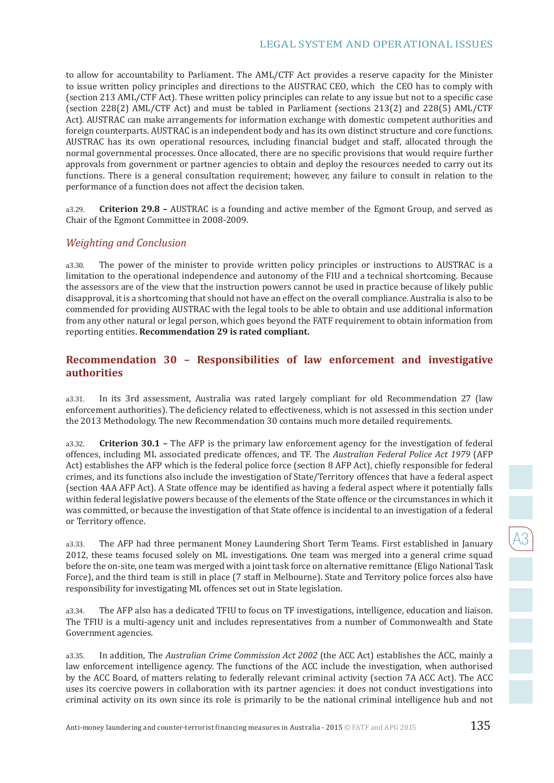to allow for accountability to Parliament. The AML/CTF Act provides a reserve capacity for the Minister to issue written policy principles and directions to the AUSTRAC CEO, which the CEO has to comply with (section 213 AML/CTF Act). These written policy principles can relate to any issue but not to a specific case (section 228(2) AML/CTF Act) and must be tabled in Parliament (sections 213(2) and 228(5) AML/CTF Act). AUSTRAC can make arrangements for information exchange with domestic competent authorities and foreign counterparts. AUSTRAC is an independent body and has its own distinct structure and core functions. AUSTRAC has its own operational resources, including financial budget and staff, allocated through the normal governmental processes. Once allocated, there are no specific provisions that would require further approvals from government or partner agencies to obtain and deploy the resources needed to carry out its functions. There is a general consultation requirement; however, any failure to consult in relation to the performance of a function does not affect the decision taken.

a3.29. **Criterion 29.8 –** AUSTRAC is a founding and active member of the Egmont Group, and served as Chair of the Egmont Committee in 2008-2009.

#### *Weighting and Conclusion*

a3.30. The power of the minister to provide written policy principles or instructions to AUSTRAC is a limitation to the operational independence and autonomy of the FIU and a technical shortcoming. Because the assessors are of the view that the instruction powers cannot be used in practice because of likely public disapproval, it is a shortcoming that should not have an effect on the overall compliance. Australia is also to be commended for providing AUSTRAC with the legal tools to be able to obtain and use additional information from any other natural or legal person, which goes beyond the FATF requirement to obtain information from reporting entities. **Recommendation 29 is rated compliant.**

#### **Recommendation 30 – Responsibilities of law enforcement and investigative authorities**

a3.31. In its 3rd assessment, Australia was rated largely compliant for old Recommendation 27 (law enforcement authorities). The deficiency related to effectiveness, which is not assessed in this section under the 2013 Methodology. The new Recommendation 30 contains much more detailed requirements.

a3.32. **Criterion 30.1 –** The AFP is the primary law enforcement agency for the investigation of federal offences, including ML associated predicate offences, and TF. The *Australian Federal Police Act 1979* (AFP Act) establishes the AFP which is the federal police force (section 8 AFP Act), chiefly responsible for federal crimes, and its functions also include the investigation of State/Territory offences that have a federal aspect (section 4AA AFP Act). A State offence may be identified as having a federal aspect where it potentially falls within federal legislative powers because of the elements of the State offence or the circumstances in which it was committed, or because the investigation of that State offence is incidental to an investigation of a federal or Territory offence.

a3.33. The AFP had three permanent Money Laundering Short Term Teams. First established in January 2012, these teams focused solely on ML investigations. One team was merged into a general crime squad before the on-site, one team was merged with a joint task force on alternative remittance (Eligo National Task Force), and the third team is still in place (7 staff in Melbourne). State and Territory police forces also have responsibility for investigating ML offences set out in State legislation.

a3.34. The AFP also has a dedicated TFIU to focus on TF investigations, intelligence, education and liaison. The TFIU is a multi-agency unit and includes representatives from a number of Commonwealth and State Government agencies.

a3.35. In addition, The *Australian Crime Commission Act 2002* (the ACC Act) establishes the ACC, mainly a law enforcement intelligence agency. The functions of the ACC include the investigation, when authorised by the ACC Board, of matters relating to federally relevant criminal activity (section 7A ACC Act). The ACC uses its coercive powers in collaboration with its partner agencies: it does not conduct investigations into criminal activity on its own since its role is primarily to be the national criminal intelligence hub and not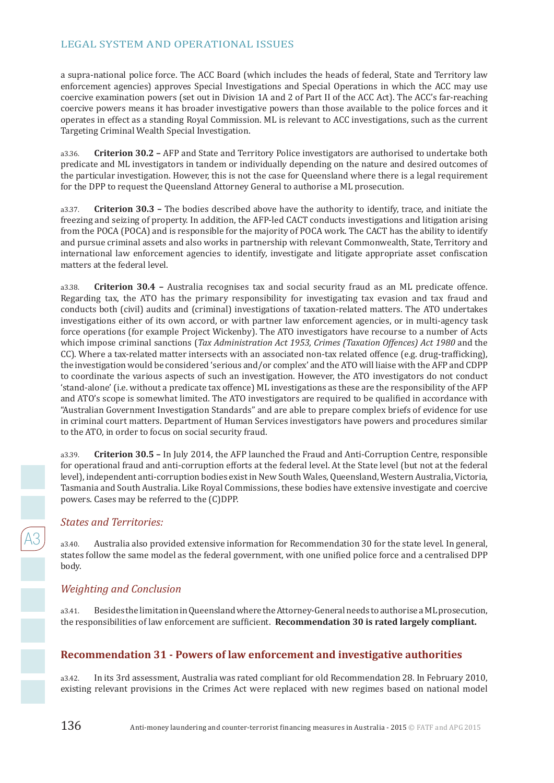a supra-national police force. The ACC Board (which includes the heads of federal, State and Territory law enforcement agencies) approves Special Investigations and Special Operations in which the ACC may use coercive examination powers (set out in Division 1A and 2 of Part II of the ACC Act). The ACC's far-reaching coercive powers means it has broader investigative powers than those available to the police forces and it operates in effect as a standing Royal Commission. ML is relevant to ACC investigations, such as the current Targeting Criminal Wealth Special Investigation.

a3.36. **Criterion 30.2 –** AFP and State and Territory Police investigators are authorised to undertake both predicate and ML investigators in tandem or individually depending on the nature and desired outcomes of the particular investigation. However, this is not the case for Queensland where there is a legal requirement for the DPP to request the Queensland Attorney General to authorise a ML prosecution.

a3.37. **Criterion 30.3 –** The bodies described above have the authority to identify, trace, and initiate the freezing and seizing of property. In addition, the AFP-led CACT conducts investigations and litigation arising from the POCA (POCA) and is responsible for the majority of POCA work. The CACT has the ability to identify and pursue criminal assets and also works in partnership with relevant Commonwealth, State, Territory and international law enforcement agencies to identify, investigate and litigate appropriate asset confiscation matters at the federal level.

a3.38. **Criterion 30.4 –** Australia recognises tax and social security fraud as an ML predicate offence. Regarding tax, the ATO has the primary responsibility for investigating tax evasion and tax fraud and conducts both (civil) audits and (criminal) investigations of taxation-related matters. The ATO undertakes investigations either of its own accord, or with partner law enforcement agencies, or in multi-agency task force operations (for example Project Wickenby). The ATO investigators have recourse to a number of Acts which impose criminal sanctions (*Tax Administration Act 1953, Crimes (Taxation Offences) Act 1980* and the CC). Where a tax-related matter intersects with an associated non-tax related offence (e.g. drug-trafficking), the investigation would be considered 'serious and/or complex' and the ATO will liaise with the AFP and CDPP to coordinate the various aspects of such an investigation. However, the ATO investigators do not conduct 'stand-alone' (i.e. without a predicate tax offence) ML investigations as these are the responsibility of the AFP and ATO's scope is somewhat limited. The ATO investigators are required to be qualified in accordance with "Australian Government Investigation Standards" and are able to prepare complex briefs of evidence for use in criminal court matters. Department of Human Services investigators have powers and procedures similar to the ATO, in order to focus on social security fraud.

a3.39. **Criterion 30.5 –** In July 2014, the AFP launched the Fraud and Anti-Corruption Centre, responsible for operational fraud and anti-corruption efforts at the federal level. At the State level (but not at the federal level), independent anti-corruption bodies exist in New South Wales, Queensland, Western Australia, Victoria, Tasmania and South Australia. Like Royal Commissions, these bodies have extensive investigate and coercive powers. Cases may be referred to the (C)DPP.

#### *States and Territories:*

a3.40. Australia also provided extensive information for Recommendation 30 for the state level. In general, states follow the same model as the federal government, with one unified police force and a centralised DPP body.

## *Weighting and Conclusion*

a3.41. Besides the limitation in Queensland where the Attorney-General needs to authorise a ML prosecution, the responsibilities of law enforcement are sufficient. **Recommendation 30 is rated largely compliant.**

## **Recommendation 31 - Powers of law enforcement and investigative authorities**

a3.42. In its 3rd assessment, Australia was rated compliant for old Recommendation 28. In February 2010, existing relevant provisions in the Crimes Act were replaced with new regimes based on national model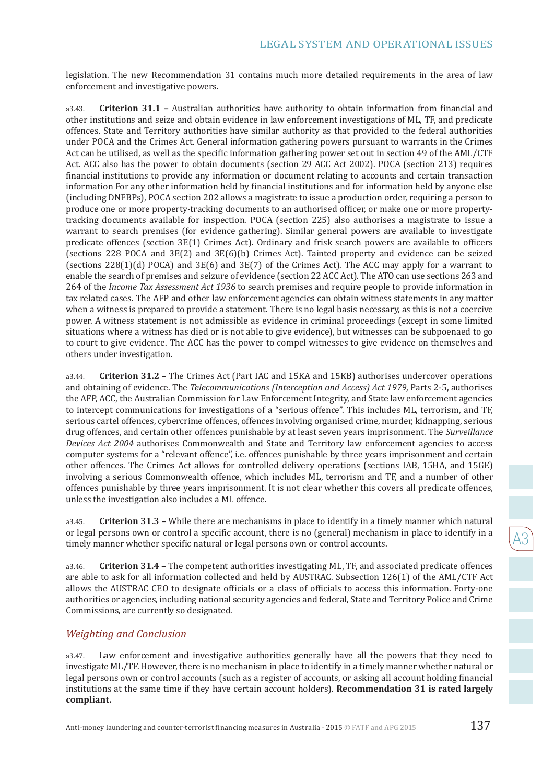legislation. The new Recommendation 31 contains much more detailed requirements in the area of law enforcement and investigative powers.

a3.43. **Criterion 31.1 –** Australian authorities have authority to obtain information from financial and other institutions and seize and obtain evidence in law enforcement investigations of ML, TF, and predicate offences. State and Territory authorities have similar authority as that provided to the federal authorities under POCA and the Crimes Act. General information gathering powers pursuant to warrants in the Crimes Act can be utilised, as well as the specific information gathering power set out in section 49 of the AML/CTF Act. ACC also has the power to obtain documents (section 29 ACC Act 2002). POCA (section 213) requires financial institutions to provide any information or document relating to accounts and certain transaction information For any other information held by financial institutions and for information held by anyone else (including DNFBPs), POCA section 202 allows a magistrate to issue a production order, requiring a person to produce one or more property-tracking documents to an authorised officer, or make one or more propertytracking documents available for inspection. POCA (section 225) also authorises a magistrate to issue a warrant to search premises (for evidence gathering). Similar general powers are available to investigate predicate offences (section 3E(1) Crimes Act). Ordinary and frisk search powers are available to officers (sections 228 POCA and 3E(2) and 3E(6)(b) Crimes Act). Tainted property and evidence can be seized (sections 228(1)(d) POCA) and 3E(6) and 3E(7) of the Crimes Act). The ACC may apply for a warrant to enable the search of premises and seizure of evidence (section 22 ACC Act). The ATO can use sections 263 and 264 of the *Income Tax Assessment Act 1936* to search premises and require people to provide information in tax related cases. The AFP and other law enforcement agencies can obtain witness statements in any matter when a witness is prepared to provide a statement. There is no legal basis necessary, as this is not a coercive power. A witness statement is not admissible as evidence in criminal proceedings (except in some limited situations where a witness has died or is not able to give evidence), but witnesses can be subpoenaed to go to court to give evidence. The ACC has the power to compel witnesses to give evidence on themselves and others under investigation.

a3.44. **Criterion 31.2 –** The Crimes Act (Part IAC and 15KA and 15KB) authorises undercover operations and obtaining of evidence. The *Telecommunications (Interception and Access) Act 1979*, Parts 2-5, authorises the AFP, ACC, the Australian Commission for Law Enforcement Integrity, and State law enforcement agencies to intercept communications for investigations of a "serious offence". This includes ML, terrorism, and TF, serious cartel offences, cybercrime offences, offences involving organised crime, murder, kidnapping, serious drug offences, and certain other offences punishable by at least seven years imprisonment. The *Surveillance Devices Act 2004* authorises Commonwealth and State and Territory law enforcement agencies to access computer systems for a "relevant offence", i.e. offences punishable by three years imprisonment and certain other offences. The Crimes Act allows for controlled delivery operations (sections IAB, 15HA, and 15GE) involving a serious Commonwealth offence, which includes ML, terrorism and TF, and a number of other offences punishable by three years imprisonment. It is not clear whether this covers all predicate offences, unless the investigation also includes a ML offence.

a3.45. **Criterion 31.3 –** While there are mechanisms in place to identify in a timely manner which natural or legal persons own or control a specific account, there is no (general) mechanism in place to identify in a timely manner whether specific natural or legal persons own or control accounts.

a3.46. **Criterion 31.4 –** The competent authorities investigating ML, TF, and associated predicate offences are able to ask for all information collected and held by AUSTRAC. Subsection 126(1) of the AML/CTF Act allows the AUSTRAC CEO to designate officials or a class of officials to access this information. Forty-one authorities or agencies, including national security agencies and federal, State and Territory Police and Crime Commissions, are currently so designated.

#### *Weighting and Conclusion*

a3.47. Law enforcement and investigative authorities generally have all the powers that they need to investigate ML/TF. However, there is no mechanism in place to identify in a timely manner whether natural or legal persons own or control accounts (such as a register of accounts, or asking all account holding financial institutions at the same time if they have certain account holders). **Recommendation 31 is rated largely compliant.**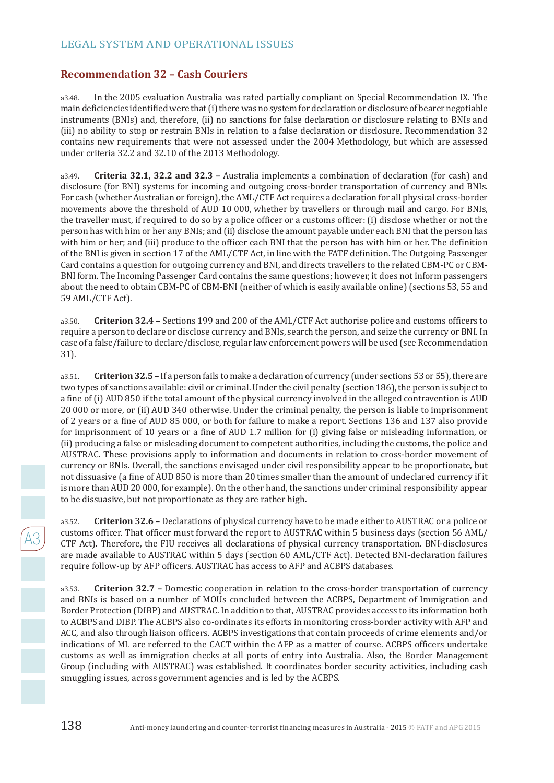### **Recommendation 32 – Cash Couriers**

a3.48. In the 2005 evaluation Australia was rated partially compliant on Special Recommendation IX. The main deficiencies identified were that (i) there was no system for declaration or disclosure of bearer negotiable instruments (BNIs) and, therefore, (ii) no sanctions for false declaration or disclosure relating to BNIs and (iii) no ability to stop or restrain BNIs in relation to a false declaration or disclosure. Recommendation 32 contains new requirements that were not assessed under the 2004 Methodology, but which are assessed under criteria 32.2 and 32.10 of the 2013 Methodology.

a3.49. **Criteria 32.1, 32.2 and 32.3 –** Australia implements a combination of declaration (for cash) and disclosure (for BNI) systems for incoming and outgoing cross-border transportation of currency and BNIs. For cash (whether Australian or foreign), the AML/CTF Act requires a declaration for all physical cross-border movements above the threshold of AUD 10 000, whether by travellers or through mail and cargo. For BNIs, the traveller must, if required to do so by a police officer or a customs officer: (i) disclose whether or not the person has with him or her any BNIs; and (ii) disclose the amount payable under each BNI that the person has with him or her; and (iii) produce to the officer each BNI that the person has with him or her. The definition of the BNI is given in section 17 of the AML/CTF Act, in line with the FATF definition. The Outgoing Passenger Card contains a question for outgoing currency and BNI, and directs travellers to the related CBM-PC or CBM-BNI form. The Incoming Passenger Card contains the same questions; however, it does not inform passengers about the need to obtain CBM-PC of CBM-BNI (neither of which is easily available online) (sections 53, 55 and 59 AML/CTF Act).

a3.50. **Criterion 32.4 –** Sections 199 and 200 of the AML/CTF Act authorise police and customs officers to require a person to declare or disclose currency and BNIs, search the person, and seize the currency or BNI. In case of a false/failure to declare/disclose, regular law enforcement powers will be used (see Recommendation 31).

a3.51. **Criterion 32.5 –** If a person fails to make a declaration of currency (under sections 53 or 55), there are two types of sanctions available: civil or criminal. Under the civil penalty (section 186), the person is subject to a fine of (i) AUD 850 if the total amount of the physical currency involved in the alleged contravention is AUD 20 000 or more, or (ii) AUD 340 otherwise. Under the criminal penalty, the person is liable to imprisonment of 2 years or a fine of AUD 85 000, or both for failure to make a report. Sections 136 and 137 also provide for imprisonment of 10 years or a fine of AUD 1.7 million for (i) giving false or misleading information, or (ii) producing a false or misleading document to competent authorities, including the customs, the police and AUSTRAC. These provisions apply to information and documents in relation to cross-border movement of currency or BNIs. Overall, the sanctions envisaged under civil responsibility appear to be proportionate, but not dissuasive (a fine of AUD 850 is more than 20 times smaller than the amount of undeclared currency if it is more than AUD 20 000, for example). On the other hand, the sanctions under criminal responsibility appear to be dissuasive, but not proportionate as they are rather high.

a3.52. **Criterion 32.6 –** Declarations of physical currency have to be made either to AUSTRAC or a police or customs officer. That officer must forward the report to AUSTRAC within 5 business days (section 56 AML/ CTF Act). Therefore, the FIU receives all declarations of physical currency transportation. BNI-disclosures are made available to AUSTRAC within 5 days (section 60 AML/CTF Act). Detected BNI-declaration failures require follow-up by AFP officers. AUSTRAC has access to AFP and ACBPS databases.

a3.53. **Criterion 32.7 –** Domestic cooperation in relation to the cross-border transportation of currency and BNIs is based on a number of MOUs concluded between the ACBPS, Department of Immigration and Border Protection (DIBP) and AUSTRAC. In addition to that, AUSTRAC provides access to its information both to ACBPS and DIBP. The ACBPS also co-ordinates its efforts in monitoring cross-border activity with AFP and ACC, and also through liaison officers. ACBPS investigations that contain proceeds of crime elements and/or indications of ML are referred to the CACT within the AFP as a matter of course. ACBPS officers undertake customs as well as immigration checks at all ports of entry into Australia. Also, the Border Management Group (including with AUSTRAC) was established. It coordinates border security activities, including cash smuggling issues, across government agencies and is led by the ACBPS.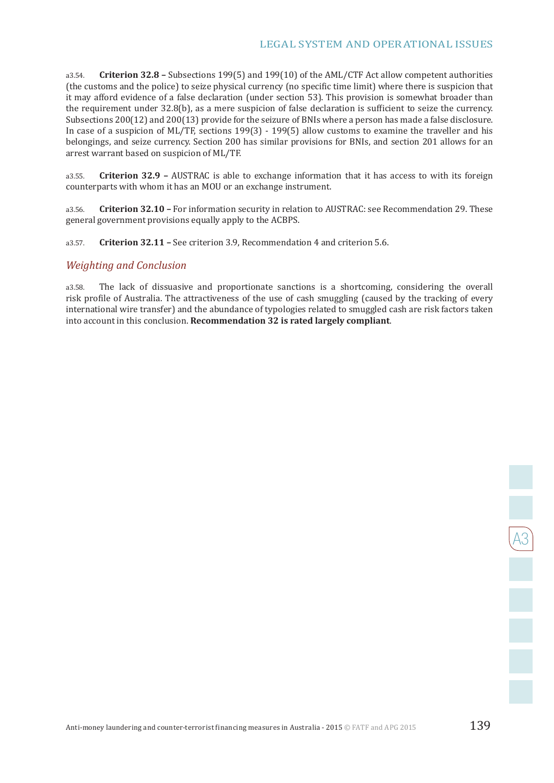a3.54. **Criterion 32.8 –** Subsections 199(5) and 199(10) of the AML/CTF Act allow competent authorities (the customs and the police) to seize physical currency (no specific time limit) where there is suspicion that it may afford evidence of a false declaration (under section 53). This provision is somewhat broader than the requirement under 32.8(b), as a mere suspicion of false declaration is sufficient to seize the currency. Subsections 200(12) and 200(13) provide for the seizure of BNIs where a person has made a false disclosure. In case of a suspicion of ML/TF, sections 199(3) - 199(5) allow customs to examine the traveller and his belongings, and seize currency. Section 200 has similar provisions for BNIs, and section 201 allows for an arrest warrant based on suspicion of ML/TF.

a3.55. **Criterion 32.9 –** AUSTRAC is able to exchange information that it has access to with its foreign counterparts with whom it has an MOU or an exchange instrument.

a3.56. **Criterion 32.10 –** For information security in relation to AUSTRAC: see Recommendation 29. These general government provisions equally apply to the ACBPS.

a3.57. **Criterion 32.11 –** See criterion 3.9, Recommendation 4 and criterion 5.6.

#### *Weighting and Conclusion*

a3.58. The lack of dissuasive and proportionate sanctions is a shortcoming, considering the overall risk profile of Australia. The attractiveness of the use of cash smuggling (caused by the tracking of every international wire transfer) and the abundance of typologies related to smuggled cash are risk factors taken into account in this conclusion. **Recommendation 32 is rated largely compliant**.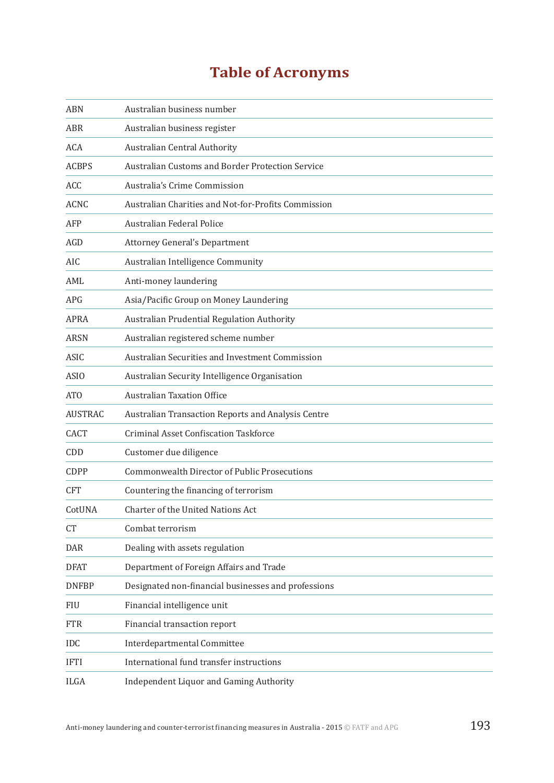## **Table of Acronyms**

| <b>ABN</b>      | Australian business number                          |
|-----------------|-----------------------------------------------------|
| <b>ABR</b>      | Australian business register                        |
| <b>ACA</b>      | Australian Central Authority                        |
| <b>ACBPS</b>    | Australian Customs and Border Protection Service    |
| <b>ACC</b>      | Australia's Crime Commission                        |
| <b>ACNC</b>     | Australian Charities and Not-for-Profits Commission |
| AFP             | Australian Federal Police                           |
| AGD             | <b>Attorney General's Department</b>                |
| AIC             | Australian Intelligence Community                   |
| AML             | Anti-money laundering                               |
| <b>APG</b>      | Asia/Pacific Group on Money Laundering              |
| <b>APRA</b>     | Australian Prudential Regulation Authority          |
| <b>ARSN</b>     | Australian registered scheme number                 |
| <b>ASIC</b>     | Australian Securities and Investment Commission     |
| <b>ASIO</b>     | Australian Security Intelligence Organisation       |
| AT <sub>O</sub> | <b>Australian Taxation Office</b>                   |
| <b>AUSTRAC</b>  | Australian Transaction Reports and Analysis Centre  |
| <b>CACT</b>     | <b>Criminal Asset Confiscation Taskforce</b>        |
| CDD             | Customer due diligence                              |
| CDPP            | <b>Commonwealth Director of Public Prosecutions</b> |
| <b>CFT</b>      | Countering the financing of terrorism               |
| CotUNA          | Charter of the United Nations Act                   |
| <b>CT</b>       | Combat terrorism                                    |
| <b>DAR</b>      | Dealing with assets regulation                      |
| <b>DFAT</b>     | Department of Foreign Affairs and Trade             |
| <b>DNFBP</b>    | Designated non-financial businesses and professions |
| FIU             | Financial intelligence unit                         |
| <b>FTR</b>      | Financial transaction report                        |
| <b>IDC</b>      | Interdepartmental Committee                         |
| <b>IFTI</b>     | International fund transfer instructions            |
| <b>ILGA</b>     | Independent Liquor and Gaming Authority             |